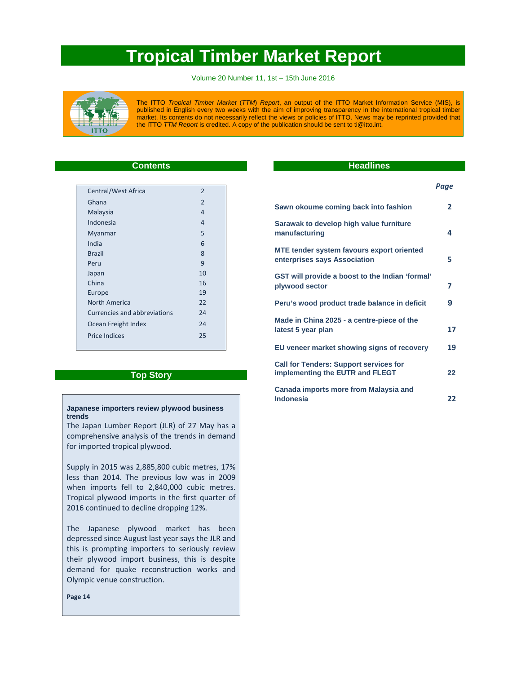# **Tropical Timber Market Report**

Volume 20 Number 11, 1st – 15th June 2016



The ITTO *Tropical Timber Market* (*TTM*) *Report*, an output of the ITTO Market Information Service (MIS), is published in English every two weeks with the aim of improving transparency in the international tropical timber market. Its contents do not necessarily reflect the views or policies of ITTO. News may be reprinted provided that the ITTO *TTM Report* is credited. A copy of the publication should be sent to ti@itto.int.

# **Contents**

| Central/West Africa          | $\overline{2}$ |
|------------------------------|----------------|
| Ghana                        | $\mathfrak{p}$ |
| Malaysia                     | 4              |
| Indonesia                    | 4              |
| Myanmar                      | 5              |
| India                        | 6              |
| <b>Brazil</b>                | 8              |
| Peru                         | 9              |
| Japan                        | 10             |
| China                        | 16             |
| Europe                       | 19             |
| North America                | 22             |
| Currencies and abbreviations | 74             |
| Ocean Freight Index          | 24             |
| <b>Price Indices</b>         | 25             |
|                              |                |

# **Top Story**

# **Japanese importers review plywood business trends**

The Japan Lumber Report (JLR) of 27 May has a comprehensive analysis of the trends in demand for imported tropical plywood.

Supply in 2015 was 2,885,800 cubic metres, 17% less than 2014. The previous low was in 2009 when imports fell to 2,840,000 cubic metres. Tropical plywood imports in the first quarter of 2016 continued to decline dropping 12%.

The Japanese plywood market has been depressed since August last year says the JLR and this is prompting importers to seriously review their plywood import business, this is despite demand for quake reconstruction works and Olympic venue construction.

**Page 14**

# **Headlines**

 *Page*

| Sawn okoume coming back into fashion                                             | $\mathbf{2}$ |
|----------------------------------------------------------------------------------|--------------|
| Sarawak to develop high value furniture<br>manufacturing                         | 4            |
| MTE tender system favours export oriented<br>enterprises says Association        | 5            |
| GST will provide a boost to the Indian 'formal'<br>plywood sector                | 7            |
| Peru's wood product trade balance in deficit                                     | 9            |
| Made in China 2025 - a centre-piece of the<br>latest 5 year plan                 | 17           |
| EU veneer market showing signs of recovery                                       | 19           |
| <b>Call for Tenders: Support services for</b><br>implementing the EUTR and FLEGT | 22           |
| Canada imports more from Malaysia and<br><b>Indonesia</b>                        | 22           |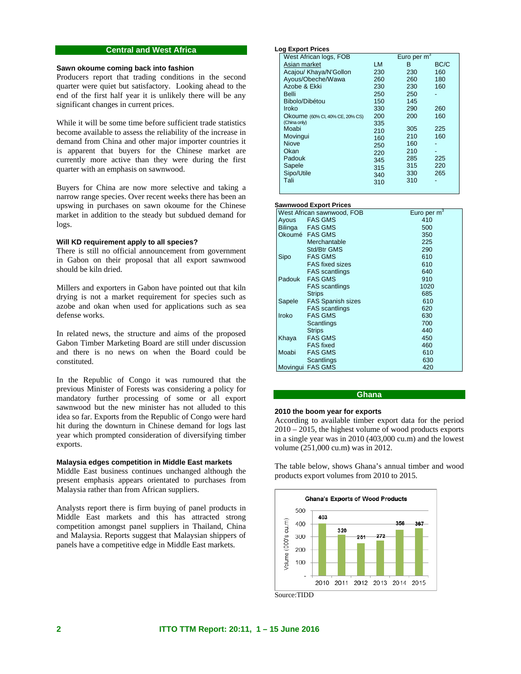# **Central and West Africa**

# **Sawn okoume coming back into fashion**

Producers report that trading conditions in the second quarter were quiet but satisfactory. Looking ahead to the end of the first half year it is unlikely there will be any significant changes in current prices.

While it will be some time before sufficient trade statistics become available to assess the reliability of the increase in demand from China and other major importer countries it is apparent that buyers for the Chinese market are currently more active than they were during the first quarter with an emphasis on sawnwood.

Buyers for China are now more selective and taking a narrow range species. Over recent weeks there has been an upswing in purchases on sawn okoume for the Chinese market in addition to the steady but subdued demand for logs.

# **Will KD requirement apply to all species?**

There is still no official announcement from government in Gabon on their proposal that all export sawnwood should be kiln dried.

Millers and exporters in Gabon have pointed out that kiln drying is not a market requirement for species such as azobe and okan when used for applications such as sea defense works.

In related news, the structure and aims of the proposed Gabon Timber Marketing Board are still under discussion and there is no news on when the Board could be constituted.

In the Republic of Congo it was rumoured that the previous Minister of Forests was considering a policy for mandatory further processing of some or all export sawnwood but the new minister has not alluded to this idea so far. Exports from the Republic of Congo were hard hit during the downturn in Chinese demand for logs last year which prompted consideration of diversifying timber exports.

# **Malaysia edges competition in Middle East markets**

Middle East business continues unchanged although the present emphasis appears orientated to purchases from Malaysia rather than from African suppliers.

Analysts report there is firm buying of panel products in Middle East markets and this has attracted strong competition amongst panel suppliers in Thailand, China and Malaysia. Reports suggest that Malaysian shippers of panels have a competitive edge in Middle East markets.

#### **Log Export Prices**

| West African logs, FOB          |           | Euro per $m^3$ |      |
|---------------------------------|-----------|----------------|------|
| Asian market                    | <b>LM</b> | в              | BC/C |
| Acajou/ Khaya/N'Gollon          | 230       | 230            | 160  |
| Ayous/Obeche/Wawa               | 260       | 260            | 180  |
| Azobe & Ekki                    | 230       | 230            | 160  |
| Belli                           | 250       | 250            |      |
| Bibolo/Dibétou                  | 150       | 145            |      |
| Iroko                           | 330       | 290            | 260  |
| Okoume (60% CI, 40% CE, 20% CS) | 200       | 200            | 160  |
| (China only)                    | 335       |                |      |
| Moabi                           | 210       | 305            | 225  |
| Movingui                        | 160       | 210            | 160  |
| <b>Niove</b>                    | 250       | 160            |      |
| Okan                            | 220       | 210            |      |
| Padouk                          | 345       | 285            | 225  |
| Sapele                          | 315       | 315            | 220  |
| Sipo/Utile                      | 340       | 330            | 265  |
| Tali                            | 310       | 310            |      |
|                                 |           |                |      |

# **Sawnwood Export Prices**

|              | West African sawnwood, FOB | Euro per $m3$ |
|--------------|----------------------------|---------------|
| Ayous        | <b>FAS GMS</b>             | 410           |
|              | Bilinga FAS GMS            | 500           |
|              | Okoumé FAS GMS             | 350           |
|              | Merchantable               | 225           |
|              | Std/Btr GMS                | 290           |
| Sipo         | <b>FAS GMS</b>             | 610           |
|              | <b>FAS</b> fixed sizes     | 610           |
|              | <b>FAS</b> scantlings      | 640           |
| Padouk       | <b>FAS GMS</b>             | 910           |
|              | <b>FAS</b> scantlings      | 1020          |
|              | <b>Strips</b>              | 685           |
| Sapele       | <b>FAS Spanish sizes</b>   | 610           |
|              | <b>FAS</b> scantlings      | 620           |
| <b>Iroko</b> | <b>FAS GMS</b>             | 630           |
|              | Scantlings                 | 700           |
|              | <b>Strips</b>              | 440           |
| Khaya        | <b>FAS GMS</b>             | 450           |
|              | <b>FAS</b> fixed           | 460           |
| Moabi        | <b>FAS GMS</b>             | 610           |
|              | Scantlings                 | 630           |
|              | Movingui FAS GMS           | 420           |

# **Ghana**

# **2010 the boom year for exports**

According to available timber export data for the period 2010 – 2015, the highest volume of wood products exports in a single year was in 2010 (403,000 cu.m) and the lowest volume (251,000 cu.m) was in 2012.

The table below, shows Ghana's annual timber and wood products export volumes from 2010 to 2015.



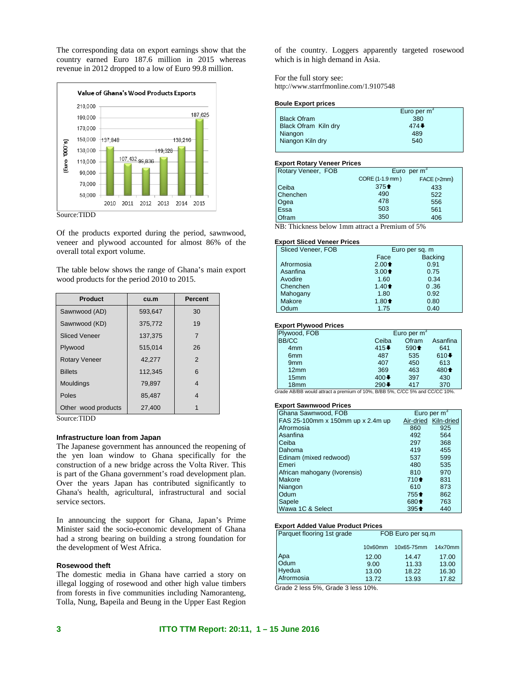The corresponding data on export earnings show that the country earned Euro 187.6 million in 2015 whereas revenue in 2012 dropped to a low of Euro 99.8 million.



Of the products exported during the period, sawnwood, veneer and plywood accounted for almost 86% of the overall total export volume.

The table below shows the range of Ghana's main export wood products for the period 2010 to 2015.

| <b>Product</b>       | cu.m    | <b>Percent</b> |
|----------------------|---------|----------------|
| Sawnwood (AD)        | 593,647 | 30             |
| Sawnwood (KD)        | 375.772 | 19             |
| <b>Sliced Veneer</b> | 137,375 | $\overline{7}$ |
| Plywood              | 515.014 | 26             |
| <b>Rotary Veneer</b> | 42,277  | 2              |
| <b>Billets</b>       | 112.345 | 6              |
| Mouldings            | 79,897  | 4              |
| Poles                | 85.487  | 4              |
| Other wood products  | 27,400  |                |

Source:TIDD

### **Infrastructure loan from Japan**

The Japanese government has announced the reopening of the yen loan window to Ghana specifically for the construction of a new bridge across the Volta River. This is part of the Ghana government's road development plan. Over the years Japan has contributed significantly to Ghana's health, agricultural, infrastructural and social service sectors.

In announcing the support for Ghana, Japan's Prime Minister said the socio-economic development of Ghana had a strong bearing on building a strong foundation for the development of West Africa.

# **Rosewood theft**

The domestic media in Ghana have carried a story on illegal logging of rosewood and other high value timbers from forests in five communities including Namoranteng, Tolla, Nung, Bapeila and Beung in the Upper East Region

of the country. Loggers apparently targeted rosewood which is in high demand in Asia.

For the full story see: http://www.starrfmonline.com/1.9107548

#### **Boule Export prices**

|                      | Euro per $m^3$ |
|----------------------|----------------|
| <b>Black Ofram</b>   | 380            |
| Black Ofram Kiln dry | 474            |
| Niangon              | 489            |
| Niangon Kiln dry     | 540            |
|                      |                |

### **Export Rotary Veneer Prices**

| Rotary Veneer, FOB | Euro per $m3$   |             |
|--------------------|-----------------|-------------|
|                    | CORE (1-1.9 mm) | FACE (>2mm) |
| Ceiba              | $375 +$         | 433         |
| Chenchen           | 490             | 522         |
|                    | 478             | 556         |
| Ogea<br>Essa       | 503             | 561         |
| <b>Ofram</b>       | 350             | 406         |

NB: Thickness below 1mm attract a Premium of 5%

#### **Export Sliced Veneer Prices**

| Sliced Veneer, FOB | Euro per sq. m  |                |
|--------------------|-----------------|----------------|
|                    | Face            | <b>Backing</b> |
| Afrormosia         | $2.00 \text{ }$ | 0.91           |
| Asanfina           | $3.00 \text{ }$ | 0.75           |
| Avodire            | 1.60            | 0.34           |
| Chenchen           | $1.40 \text{ }$ | 0.36           |
| Mahogany           | 1.80            | 0.92           |
| Makore             | $1.80 +$        | 0.80           |
| Odum               | 1.75            | 0.40           |

#### **Export Plywood Prices**

| Plywood, FOB     | Euro per $m^3$            |         |                                       |
|------------------|---------------------------|---------|---------------------------------------|
| <b>BB/CC</b>     | Ceiba                     | Ofram   | Asanfina                              |
| 4 <sub>mm</sub>  | $415+$                    | $590 +$ | 641                                   |
| 6 <sub>mm</sub>  | 487                       | 535     | $610+$                                |
| 9 <sub>mm</sub>  | 407                       | 450     | 613                                   |
| 12mm             | 369                       | 463     | 480 <sup><math>\triangle</math></sup> |
| 15 <sub>mm</sub> | $400 \blacktriangleright$ | 397     | 430                                   |
| 18mm             | $290+$                    | 417     | 370                                   |

Grade AB/BB would attract a premium of 10%, B/BB 5%, C/CC 5% and CC/CC 10%.

# **Export Sawnwood Prices**

| Ghana Sawnwood, FOB               |                                       | Euro per $m3$        |
|-----------------------------------|---------------------------------------|----------------------|
| FAS 25-100mm x 150mm up x 2.4m up |                                       | Air-dried Kiln-dried |
| Afrormosia                        | 860                                   | 925                  |
| Asanfina                          | 492                                   | 564                  |
| Ceiba                             | 297                                   | 368                  |
| Dahoma                            | 419                                   | 455                  |
| Edinam (mixed redwood)            | 537                                   | 599                  |
| Emeri                             | 480                                   | 535                  |
| African mahogany (Ivorensis)      | 810                                   | 970                  |
| Makore                            | $710 +$                               | 831                  |
| Niangon                           | 610                                   | 873                  |
| Odum                              | $755 +$                               | 862                  |
| Sapele                            | 680 <sup><math>\triangle</math></sup> | 763                  |
| Wawa 1C & Select                  | $395 +$                               | 440                  |

#### **Export Added Value Product Prices**

| Parquet flooring 1st grade                                | FOB Euro per sq.m |            |         |
|-----------------------------------------------------------|-------------------|------------|---------|
|                                                           | 10x60mm           | 10x65-75mm | 14x70mm |
| Apa<br>Odum                                               | 12.00             | 14.47      | 17.00   |
|                                                           | 9.00              | 11.33      | 13.00   |
| Hyedua                                                    | 13.00             | 18.22      | 16.30   |
| Afrormosia<br>---<br>.<br>$\overline{\phantom{0}}$<br>- - | 13.72             | 13.93      | 17.82   |

Grade 2 less 5%, Grade 3 less 10%.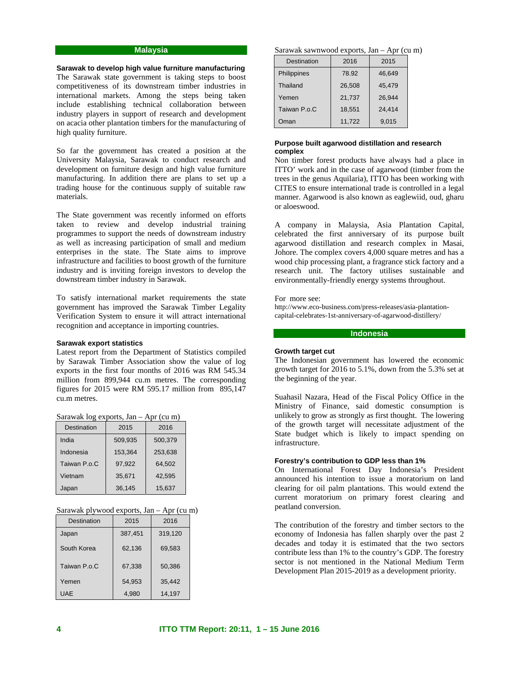# **Malaysia**

**Sarawak to develop high value furniture manufacturing**  The Sarawak state government is taking steps to boost competitiveness of its downstream timber industries in international markets. Among the steps being taken include establishing technical collaboration between industry players in support of research and development on acacia other plantation timbers for the manufacturing of high quality furniture.

So far the government has created a position at the University Malaysia, Sarawak to conduct research and development on furniture design and high value furniture manufacturing. In addition there are plans to set up a trading house for the continuous supply of suitable raw materials.

The State government was recently informed on efforts taken to review and develop industrial training programmes to support the needs of downstream industry as well as increasing participation of small and medium enterprises in the state. The State aims to improve infrastructure and facilities to boost growth of the furniture industry and is inviting foreign investors to develop the downstream timber industry in Sarawak.

To satisfy international market requirements the state government has improved the Sarawak Timber Legality Verification System to ensure it will attract international recognition and acceptance in importing countries.

#### **Sarawak export statistics**

Latest report from the Department of Statistics compiled by Sarawak Timber Association show the value of log exports in the first four months of 2016 was RM 545.34 million from 899,944 cu.m metres. The corresponding figures for 2015 were RM 595.17 million from 895,147 cu.m metres.

| <b>Destination</b> | 2015    | 2016    |
|--------------------|---------|---------|
| India              | 509,935 | 500,379 |
| Indonesia          | 153,364 | 253.638 |
| Taiwan P.o.C       | 97,922  | 64.502  |
| Vietnam            | 35,671  | 42.595  |
| Japan              | 36,145  | 15.637  |

| Sarawak log exports, Jan - Apr (cu m) |
|---------------------------------------|
|---------------------------------------|

|  | Sarawak plywood exports, Jan – Apr (cu m) |  |
|--|-------------------------------------------|--|
|  |                                           |  |

| Destination  | 2015    | 2016    |
|--------------|---------|---------|
| Japan        | 387,451 | 319,120 |
| South Korea  | 62,136  | 69,583  |
| Taiwan P.o.C | 67,338  | 50,386  |
| Yemen        | 54,953  | 35,442  |
| UAE          | 4,980   | 14,197  |

Sarawak sawnwood exports, Jan – Apr (cu m)

| <b>Destination</b> | 2016   | 2015   |
|--------------------|--------|--------|
| Philippines        | 78.92  | 46,649 |
| Thailand           | 26,508 | 45,479 |
| Yemen              | 21,737 | 26.944 |
| Taiwan P.o.C       | 18,551 | 24,414 |
| Oman               | 11,722 | 9.015  |

# **Purpose built agarwood distillation and research complex**

Non timber forest products have always had a place in ITTO' work and in the case of agarwood (timber from the trees in the genus Aquilaria), ITTO has been working with CITES to ensure international trade is controlled in a legal manner. Agarwood is also known as eaglewiid, oud, gharu or aloeswood.

A company in Malaysia, Asia Plantation Capital, celebrated the first anniversary of its purpose built agarwood distillation and research complex in Masai, Johore. The complex covers 4,000 square metres and has a wood chip processing plant, a fragrance stick factory and a research unit. The factory utilises sustainable and environmentally-friendly energy systems throughout.

For more see:

http://www.eco-business.com/press-releases/asia-plantationcapital-celebrates-1st-anniversary-of-agarwood-distillery/

# **Indonesia**

# **Growth target cut**

The Indonesian government has lowered the economic growth target for 2016 to 5.1%, down from the 5.3% set at the beginning of the year.

Suahasil Nazara, Head of the Fiscal Policy Office in the Ministry of Finance, said domestic consumption is unlikely to grow as strongly as first thought. The lowering of the growth target will necessitate adjustment of the State budget which is likely to impact spending on infrastructure.

# **Forestry's contribution to GDP less than 1%**

On International Forest Day Indonesia's President announced his intention to issue a moratorium on land clearing for oil palm plantations. This would extend the current moratorium on primary forest clearing and peatland conversion.

The contribution of the forestry and timber sectors to the economy of Indonesia has fallen sharply over the past 2 decades and today it is estimated that the two sectors contribute less than 1% to the country's GDP. The forestry sector is not mentioned in the National Medium Term Development Plan 2015-2019 as a development priority.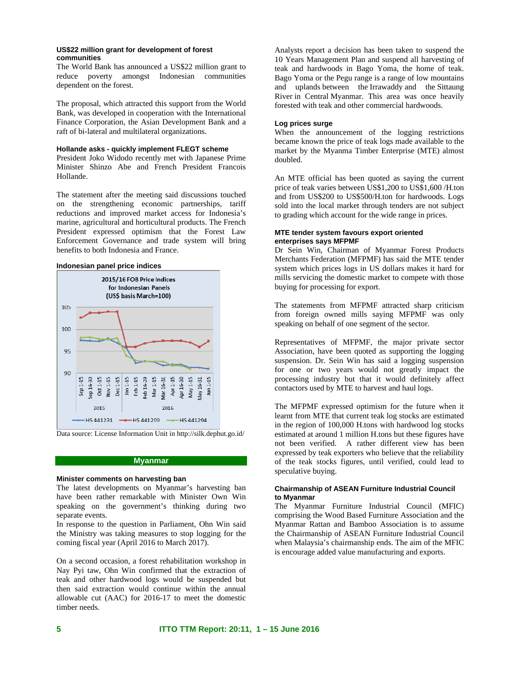# **US\$22 million grant for development of forest communities**

The World Bank has announced a US\$22 million grant to reduce poverty amongst Indonesian communities dependent on the forest.

The proposal, which attracted this support from the World Bank, was developed in cooperation with the International Finance Corporation, the Asian Development Bank and a raft of bi-lateral and multilateral organizations.

# **Hollande asks - quickly implement FLEGT scheme**

President Joko Widodo recently met with Japanese Prime Minister Shinzo Abe and French President Francois Hollande.

The statement after the meeting said discussions touched on the strengthening economic partnerships, tariff reductions and improved market access for Indonesia's marine, agricultural and horticultural products. The French President expressed optimism that the Forest Law Enforcement Governance and trade system will bring benefits to both Indonesia and France.

# **Indonesian panel price indices**



Data source: License Information Unit in http://silk.dephut.go.id/

### **Myanmar**

# **Minister comments on harvesting ban**

The latest developments on Myanmar's harvesting ban have been rather remarkable with Minister Own Win speaking on the government's thinking during two separate events.

In response to the question in Parliament, Ohn Win said the Ministry was taking measures to stop logging for the coming fiscal year (April 2016 to March 2017).

On a second occasion, a forest rehabilitation workshop in Nay Pyi taw, Ohn Win confirmed that the extraction of teak and other hardwood logs would be suspended but then said extraction would continue within the annual allowable cut (AAC) for 2016-17 to meet the domestic timber needs.

Analysts report a decision has been taken to suspend the 10 Years Management Plan and suspend all harvesting of teak and hardwoods in Bago Yoma, the home of teak. Bago Yoma or the Pegu range is a range of low mountains and uplands between the Irrawaddy and the Sittaung River in Central Myanmar. This area was once heavily forested with teak and other commercial hardwoods.

### **Log prices surge**

When the announcement of the logging restrictions became known the price of teak logs made available to the market by the Myanma Timber Enterprise (MTE) almost doubled.

An MTE official has been quoted as saying the current price of teak varies between US\$1,200 to US\$1,600 /H.ton and from US\$200 to US\$500/H.ton for hardwoods. Logs sold into the local market through tenders are not subject to grading which account for the wide range in prices.

# **MTE tender system favours export oriented enterprises says MFPMF**

Dr Sein Win, Chairman of Myanmar Forest Products Merchants Federation (MFPMF) has said the MTE tender system which prices logs in US dollars makes it hard for mills servicing the domestic market to compete with those buying for processing for export.

The statements from MFPMF attracted sharp criticism from foreign owned mills saying MFPMF was only speaking on behalf of one segment of the sector.

Representatives of MFPMF, the major private sector Association, have been quoted as supporting the logging suspension. Dr. Sein Win has said a logging suspension for one or two years would not greatly impact the processing industry but that it would definitely affect contactors used by MTE to harvest and haul logs.

The MFPMF expressed optimism for the future when it learnt from MTE that current teak log stocks are estimated in the region of 100,000 H.tons with hardwood log stocks estimated at around 1 million H.tons but these figures have not been verified. A rather different view has been expressed by teak exporters who believe that the reliability of the teak stocks figures, until verified, could lead to speculative buying.

# **Chairmanship of ASEAN Furniture Industrial Council to Myanmar**

The Myanmar Furniture Industrial Council (MFIC) comprising the Wood Based Furniture Association and the Myanmar Rattan and Bamboo Association is to assume the Chairmanship of ASEAN Furniture Industrial Council when Malaysia's chairmanship ends. The aim of the MFIC is encourage added value manufacturing and exports.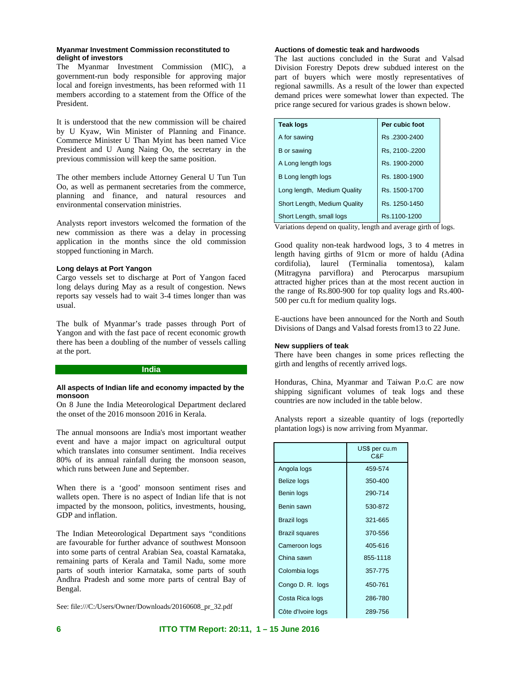# **Myanmar Investment Commission reconstituted to delight of investors**

The Myanmar Investment Commission (MIC), a government-run body responsible for approving major local and foreign investments, has been reformed with 11 members according to a statement from the Office of the President.

It is understood that the new commission will be chaired by U Kyaw, Win Minister of Planning and Finance. Commerce Minister U Than Myint has been named Vice President and U Aung Naing Oo, the secretary in the previous commission will keep the same position.

The other members include Attorney General U Tun Tun Oo, as well as permanent secretaries from the commerce, planning and finance, and natural resources and environmental conservation ministries.

Analysts report investors welcomed the formation of the new commission as there was a delay in processing application in the months since the old commission stopped functioning in March.

# **Long delays at Port Yangon**

Cargo vessels set to discharge at Port of Yangon faced long delays during May as a result of congestion. News reports say vessels had to wait 3-4 times longer than was usual.

The bulk of Myanmar's trade passes through Port of Yangon and with the fast pace of recent economic growth there has been a doubling of the number of vessels calling at the port.

#### **India**

### **All aspects of Indian life and economy impacted by the monsoon**

On 8 June the India Meteorological Department declared the onset of the 2016 monsoon 2016 in Kerala.

The annual monsoons are India's most important weather event and have a major impact on agricultural output which translates into consumer sentiment. India receives 80% of its annual rainfall during the monsoon season, which runs between June and September.

When there is a 'good' monsoon sentiment rises and wallets open. There is no aspect of Indian life that is not impacted by the monsoon, politics, investments, housing, GDP and inflation.

The Indian Meteorological Department says "conditions are favourable for further advance of southwest Monsoon into some parts of central Arabian Sea, coastal Karnataka, remaining parts of Kerala and Tamil Nadu, some more parts of south interior Karnataka, some parts of south Andhra Pradesh and some more parts of central Bay of Bengal.

See: file:///C:/Users/Owner/Downloads/20160608\_pr\_32.pdf

# **Auctions of domestic teak and hardwoods**

The last auctions concluded in the Surat and Valsad Division Forestry Depots drew subdued interest on the part of buyers which were mostly representatives of regional sawmills. As a result of the lower than expected demand prices were somewhat lower than expected. The price range secured for various grades is shown below.

| <b>Teak logs</b>             | Per cubic foot |
|------------------------------|----------------|
| A for sawing                 | Rs.2300-2400   |
| B or sawing                  | Rs. 2100-.2200 |
| A Long length logs           | Rs. 1900-2000  |
| B Long length logs           | Rs. 1800-1900  |
| Long length, Medium Quality  | Rs. 1500-1700  |
| Short Length, Medium Quality | Rs. 1250-1450  |
| Short Length, small logs     | Rs.1100-1200   |

Variations depend on quality, length and average girth of logs.

Good quality non-teak hardwood logs, 3 to 4 metres in length having girths of 91cm or more of haldu (Adina cordifolia), laurel (Terminalia tomentosa), kalam (Mitragyna parviflora) and Pterocarpus marsupium attracted higher prices than at the most recent auction in the range of Rs.800-900 for top quality logs and Rs.400- 500 per cu.ft for medium quality logs.

E-auctions have been announced for the North and South Divisions of Dangs and Valsad forests from13 to 22 June.

# **New suppliers of teak**

There have been changes in some prices reflecting the girth and lengths of recently arrived logs.

Honduras, China, Myanmar and Taiwan P.o.C are now shipping significant volumes of teak logs and these countries are now included in the table below.

Analysts report a sizeable quantity of logs (reportedly plantation logs) is now arriving from Myanmar.

|                       | US\$ per cu.m<br>C&F |
|-----------------------|----------------------|
| Angola logs           | 459-574              |
| Belize logs           | 350-400              |
| Benin logs            | 290-714              |
| Benin sawn            | 530-872              |
| Brazil logs           | 321-665              |
| <b>Brazil squares</b> | 370-556              |
| Cameroon logs         | 405-616              |
| China sawn            | 855-1118             |
| Colombia logs         | 357-775              |
| Congo D. R. logs      | 450-761              |
| Costa Rica logs       | 286-780              |
| Côte d'Ivoire logs    | 289-756              |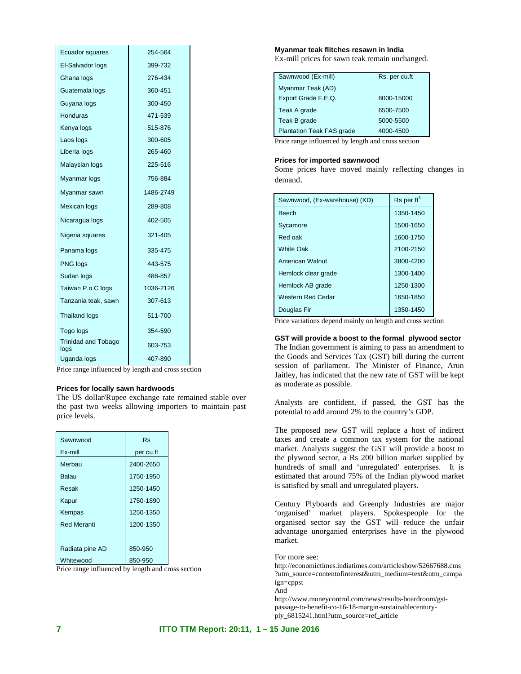| Ecuador squares                    | 254-564   |
|------------------------------------|-----------|
| El-Salvador logs                   | 399-732   |
| Ghana logs                         | 276-434   |
| Guatemala logs                     | 360-451   |
| Guyana logs                        | 300-450   |
| Honduras                           | 471-539   |
| Kenya logs                         | 515-876   |
| Laos logs                          | 300-605   |
| Liberia logs                       | 265-460   |
| Malaysian logs                     | 225-516   |
| Myanmar logs                       | 756-884   |
| Myanmar sawn                       | 1486-2749 |
| Mexican logs                       | 289-808   |
| Nicaragua logs                     | 402-505   |
| Nigeria squares                    | 321-405   |
| Panama logs                        | 335-475   |
| PNG logs                           | 443-575   |
| Sudan logs                         | 488-857   |
| Taiwan P.o.C logs                  | 1036-2126 |
| Tanzania teak, sawn                | 307-613   |
| <b>Thailand logs</b>               | 511-700   |
| Togo logs                          | 354-590   |
| <b>Trinidad and Tobago</b><br>logs | 603-753   |
| Uganda logs                        | 407-890   |

Price range influenced by length and cross section

# **Prices for locally sawn hardwoods**

The US dollar/Rupee exchange rate remained stable over the past two weeks allowing importers to maintain past price levels.

| Sawnwood           | <b>Rs</b> |
|--------------------|-----------|
| Ex-mill            | per cu.ft |
| Merbau             | 2400-2650 |
| Balau              | 1750-1950 |
| Resak              | 1250-1450 |
| Kapur              | 1750-1890 |
| Kempas             | 1250-1350 |
| <b>Red Meranti</b> | 1200-1350 |
|                    |           |
| Radiata pine AD    | 850-950   |
| Whitewood          | 850-950   |

Price range influenced by length and cross section

### **Myanmar teak flitches resawn in India**

Ex-mill prices for sawn teak remain unchanged.

| Sawnwood (Ex-mill)               | Rs. per cu.ft |
|----------------------------------|---------------|
| Myanmar Teak (AD)                |               |
| Export Grade F.E.Q.              | 8000-15000    |
| Teak A grade                     | 6500-7500     |
| Teak B grade                     | 5000-5500     |
| <b>Plantation Teak FAS grade</b> | 4000-4500     |
|                                  |               |

Price range influenced by length and cross section

# **Prices for imported sawnwood**

Some prices have moved mainly reflecting changes in demand.

| Sawnwood, (Ex-warehouse) (KD) | $\text{Rs}$ per ft <sup>3</sup> |
|-------------------------------|---------------------------------|
| <b>Beech</b>                  | 1350-1450                       |
| Sycamore                      | 1500-1650                       |
| Red oak                       | 1600-1750                       |
| <b>White Oak</b>              | 2100-2150                       |
| American Walnut               | 3800-4200                       |
| Hemlock clear grade           | 1300-1400                       |
| Hemlock AB grade              | 1250-1300                       |
| Western Red Cedar             | 1650-1850                       |
| Douglas Fir                   | 1350-1450                       |

Price variations depend mainly on length and cross section

**GST will provide a boost to the formal plywood sector**  The Indian government is aiming to pass an amendment to the Goods and Services Tax (GST) bill during the current session of parliament. The Minister of Finance, Arun Jaitley, has indicated that the new rate of GST will be kept as moderate as possible.

Analysts are confident, if passed, the GST has the potential to add around 2% to the country's GDP.

The proposed new GST will replace a host of indirect taxes and create a common tax system for the national market. Analysts suggest the GST will provide a boost to the plywood sector, a Rs 200 billion market supplied by hundreds of small and 'unregulated' enterprises. It is estimated that around 75% of the Indian plywood market is satisfied by small and unregulated players.

Century Plyboards and Greenply Industries are major 'organised' market players. Spokespeople for the organised sector say the GST will reduce the unfair advantage unorganied enterprises have in the plywood market.

For more see:

http://economictimes.indiatimes.com/articleshow/52667688.cms ?utm\_source=contentofinterest&utm\_medium=text&utm\_campa ign=cppst And

http://www.moneycontrol.com/news/results-boardroom/gstpassage-to-benefit-co-16-18-margin-sustainablecenturyply\_6815241.html?utm\_source=ref\_article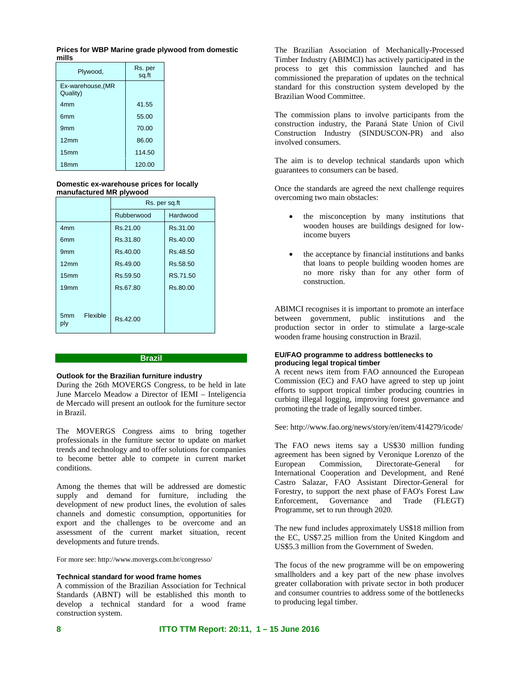| Prices for WBP Marine grade plywood from domestic |  |  |
|---------------------------------------------------|--|--|
| mills                                             |  |  |

| Plywood,                      | Rs. per<br>sq.ft |
|-------------------------------|------------------|
| Ex-warehouse, (MR<br>Quality) |                  |
| 4mm                           | 41.55            |
| 6 <sub>mm</sub>               | 55.00            |
| 9 <sub>mm</sub>               | 70.00            |
| 12mm                          | 86.00            |
| 15 <sub>mm</sub>              | 114.50           |
| 18 <sub>mm</sub>              | 120.00           |

# **Domestic ex-warehouse prices for locally manufactured MR plywood**

|                                    | Rs. per sq.ft |          |
|------------------------------------|---------------|----------|
|                                    | Rubberwood    | Hardwood |
| 4 <sub>mm</sub>                    | Rs.21.00      | Rs.31.00 |
| 6 <sub>mm</sub>                    | Rs.31.80      | Rs.40.00 |
| 9 <sub>mm</sub>                    | Rs.40.00      | Rs.48.50 |
| 12mm                               | Rs.49.00      | Rs.58.50 |
| 15 <sub>mm</sub>                   | Rs.59.50      | RS.71.50 |
| 19mm                               | Rs.67.80      | Rs.80.00 |
|                                    |               |          |
| Flexible<br>5 <sub>mm</sub><br>ply | Rs.42.00      |          |

#### **Brazil**

# **Outlook for the Brazilian furniture industry**

During the 26th MOVERGS Congress, to be held in late June Marcelo Meadow a Director of IEMI – Inteligencia de Mercado will present an outlook for the furniture sector in Brazil.

The MOVERGS Congress aims to bring together professionals in the furniture sector to update on market trends and technology and to offer solutions for companies to become better able to compete in current market conditions.

Among the themes that will be addressed are domestic supply and demand for furniture, including the development of new product lines, the evolution of sales channels and domestic consumption, opportunities for export and the challenges to be overcome and an assessment of the current market situation, recent developments and future trends.

For more see: http://www.movergs.com.br/congresso/

# **Technical standard for wood frame homes**

A commission of the Brazilian Association for Technical Standards (ABNT) will be established this month to develop a technical standard for a wood frame construction system.

The Brazilian Association of Mechanically-Processed Timber Industry (ABIMCI) has actively participated in the process to get this commission launched and has commissioned the preparation of updates on the technical standard for this construction system developed by the Brazilian Wood Committee.

The commission plans to involve participants from the construction industry, the Paraná State Union of Civil Construction Industry (SINDUSCON-PR) and also involved consumers.

The aim is to develop technical standards upon which guarantees to consumers can be based.

Once the standards are agreed the next challenge requires overcoming two main obstacles:

- the misconception by many institutions that wooden houses are buildings designed for lowincome buyers
- the acceptance by financial institutions and banks that loans to people building wooden homes are no more risky than for any other form of construction.

ABIMCI recognises it is important to promote an interface between government, public institutions and the production sector in order to stimulate a large-scale wooden frame housing construction in Brazil.

# **EU/FAO programme to address bottlenecks to producing legal tropical timber**

A recent news item from FAO announced the European Commission (EC) and FAO have agreed to step up joint efforts to support tropical timber producing countries in curbing illegal logging, improving forest governance and promoting the trade of legally sourced timber.

See: http://www.fao.org/news/story/en/item/414279/icode/

The FAO news items say a US\$30 million funding agreement has been signed by Veronique Lorenzo of the European Commission, Directorate-General for International Cooperation and Development, and René Castro Salazar, FAO Assistant Director-General for Forestry, to support the next phase of FAO's Forest Law Enforcement, Governance and Trade (FLEGT) Programme, set to run through 2020.

The new fund includes approximately US\$18 million from the EC, US\$7.25 million from the United Kingdom and US\$5.3 million from the Government of Sweden.

The focus of the new programme will be on empowering smallholders and a key part of the new phase involves greater collaboration with private sector in both producer and consumer countries to address some of the bottlenecks to producing legal timber.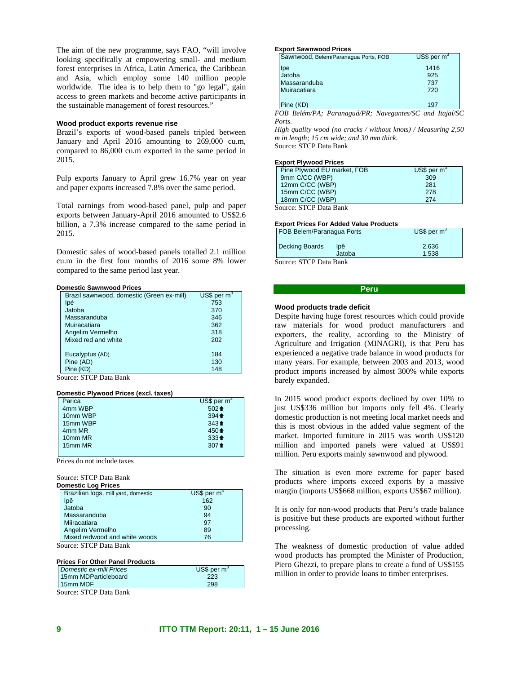The aim of the new programme, says FAO, "will involve looking specifically at empowering small- and medium forest enterprises in Africa, Latin America, the Caribbean and Asia, which employ some 140 million people worldwide. The idea is to help them to "go legal", gain access to green markets and become active participants in the sustainable management of forest resources."

### **Wood product exports revenue rise**

Brazil's exports of wood-based panels tripled between January and April 2016 amounting to 269,000 cu.m, compared to 86,000 cu.m exported in the same period in 2015.

Pulp exports January to April grew 16.7% year on year and paper exports increased 7.8% over the same period.

Total earnings from wood-based panel, pulp and paper exports between January-April 2016 amounted to US\$2.6 billion, a 7.3% increase compared to the same period in 2015.

Domestic sales of wood-based panels totalled 2.1 million cu.m in the first four months of 2016 some 8% lower compared to the same period last year.

#### **Domestic Sawnwood Prices**

| Brazil sawnwood, domestic (Green ex-mill) | $US$$ per m <sup>3</sup> |
|-------------------------------------------|--------------------------|
| lpé                                       | 753                      |
| Jatoba                                    | 370                      |
| Massaranduba                              | 346                      |
| Muiracatiara                              | 362                      |
| Angelim Vermelho                          | 318                      |
| Mixed red and white                       | 202                      |
|                                           |                          |
| Eucalyptus (AD)                           | 184                      |
| Pine (AD)                                 | 130                      |
| Pine (KD)                                 | 148                      |

Source: STCP Data Bank

### **Domestic Plywood Prices (excl. taxes)**

| Parica   | US\$ per $m3$   |
|----------|-----------------|
| 4mm WBP  | $502 +$         |
| 10mm WBP | $394 \text{ +}$ |
| 15mm WBP | $343+$          |
| 4mm MR   | $450 +$         |
| 10mm MR  | $333 +$         |
| 15mm MR  | $307 +$         |
|          |                 |

Prices do not include taxes

#### Source: STCP Data Bank **Domestic Log Prices**

| DUITESUL LUY FILLES                                      |                |  |
|----------------------------------------------------------|----------------|--|
| Brazilian logs, mill yard, domestic                      | US\$ per $m^3$ |  |
| lpê                                                      | 162            |  |
| Jatoba                                                   | 90             |  |
| Massaranduba                                             | 94             |  |
| Miiracatiara                                             | 97             |  |
| Angelim Vermelho                                         | 89             |  |
| Mixed redwood and white woods                            | 76             |  |
| $C_{\text{ouroo}}$ CTCD D <sub>ota</sub> D <sub>op</sub> |                |  |

Source: STCP Data Bank

### **Prices For Other Panel Products**

| Domestic ex-mill Prices | US\$ per m <sup>3</sup> |
|-------------------------|-------------------------|
| 15mm MDParticleboard    | 223                     |
| 15mm MDF                | 298                     |
|                         |                         |

Source: STCP Data Bank

#### **Export Sawnwood Prices**

| Sawnwood, Belem/Paranagua Ports, FOB | $US$$ per m <sup>3</sup> |
|--------------------------------------|--------------------------|
| Ipe                                  | 1416                     |
| Jatoba                               | 925                      |
| Massaranduba                         | 737                      |
| Muiracatiara                         | 720                      |
| Pine (KD)                            | 197                      |

*FOB Belém/PA; Paranaguá/PR; Navegantes/SC and Itajaí/SC Ports.* 

*High quality wood (no cracks / without knots) / Measuring 2,50 m in length; 15 cm wide; and 30 mm thick.*  Source: STCP Data Bank

#### **Export Plywood Prices**

| Pine Plywood EU market, FOB | $US$$ per m <sup>3</sup> |
|-----------------------------|--------------------------|
| 9mm C/CC (WBP)              | 309                      |
| 12mm C/CC (WBP)             | 281                      |
| 15mm C/CC (WBP)             | 278                      |
| 18mm C/CC (WBP)             | 274                      |
| $\sim$                      |                          |

Source: STCP Data Bank

### **Export Prices For Added Value Products** FOB Belem/Paranagua Ports  $US$$  per  $m<sup>3</sup>$

|                        | <b>Decking Boards</b> | lpê    | 2.636 |
|------------------------|-----------------------|--------|-------|
|                        |                       | Jatoba | 1.538 |
| Source: STCP Data Bank |                       |        |       |

#### **Peru**

### **Wood products trade deficit**

Despite having huge forest resources which could provide raw materials for wood product manufacturers and exporters, the reality, according to the Ministry of Agriculture and Irrigation (MINAGRI), is that Peru has experienced a negative trade balance in wood products for many years. For example, between 2003 and 2013, wood product imports increased by almost 300% while exports barely expanded.

In 2015 wood product exports declined by over 10% to just US\$336 million but imports only fell 4%. Clearly domestic production is not meeting local market needs and this is most obvious in the added value segment of the market. Imported furniture in 2015 was worth US\$120 million and imported panels were valued at US\$91 million. Peru exports mainly sawnwood and plywood.

The situation is even more extreme for paper based products where imports exceed exports by a massive margin (imports US\$668 million, exports US\$67 million).

It is only for non-wood products that Peru's trade balance is positive but these products are exported without further processing.

The weakness of domestic production of value added wood products has prompted the Minister of Production, Piero Ghezzi, to prepare plans to create a fund of US\$155 million in order to provide loans to timber enterprises.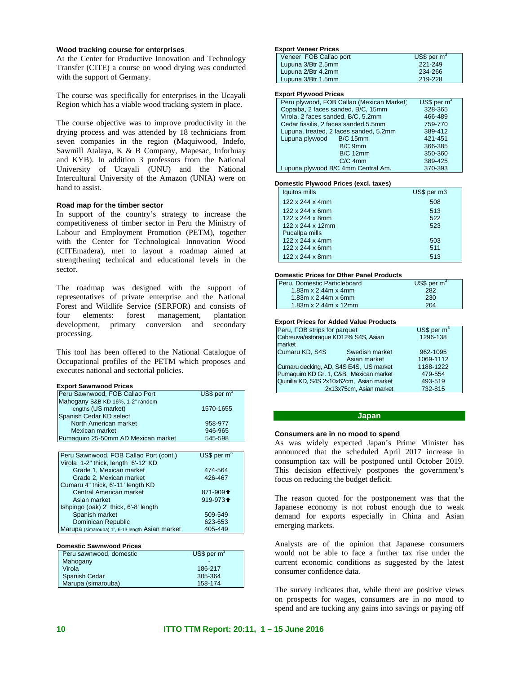# **Wood tracking course for enterprises**

At the Center for Productive Innovation and Technology Transfer (CITE) a course on wood drying was conducted with the support of Germany.

The course was specifically for enterprises in the Ucayali Region which has a viable wood tracking system in place.

The course objective was to improve productivity in the drying process and was attended by 18 technicians from seven companies in the region (Maquiwood, Indefo, Sawmill Atalaya, K & B Company, Mapesac, Inforhuay and KYB). In addition 3 professors from the National University of Ucayali (UNU) and the National Intercultural University of the Amazon (UNIA) were on hand to assist.

# **Road map for the timber sector**

In support of the country's strategy to increase the competitiveness of timber sector in Peru the Ministry of Labour and Employment Promotion (PETM), together with the Center for Technological Innovation Wood (CITEmadera), met to layout a roadmap aimed at strengthening technical and educational levels in the sector.

The roadmap was designed with the support of representatives of private enterprise and the National Forest and Wildlife Service (SERFOR) and consists of four elements: forest management, plantation development, primary conversion and secondary processing.

This tool has been offered to the National Catalogue of Occupational profiles of the PETM which proposes and executes national and sectorial policies.

#### **Export Sawnwood Prices**

| Peru Sawnwood, FOB Callao Port      | US\$ per $m^3$ |
|-------------------------------------|----------------|
| Mahogany S&B KD 16%, 1-2" random    |                |
| lengths (US market)                 | 1570-1655      |
| Spanish Cedar KD select             |                |
| North American market               | 958-977        |
| Mexican market                      | 946-965        |
| Pumaquiro 25-50mm AD Mexican market | 545-598        |
|                                     |                |
|                                     |                |

| Peru Sawnwood, FOB Callao Port (cont.)          | US\$ per $m3$                              |
|-------------------------------------------------|--------------------------------------------|
| Virola 1-2" thick, length 6'-12' KD             |                                            |
| Grade 1, Mexican market                         | 474-564                                    |
| Grade 2, Mexican market                         | 426-467                                    |
| Cumaru 4" thick, 6'-11' length KD               |                                            |
| Central American market                         | 871-909 <sup><math>\triangleq</math></sup> |
| Asian market                                    | 919-973 <sup>+</sup>                       |
| Ishpingo (oak) 2" thick, 6'-8' length           |                                            |
| Spanish market                                  | 509-549                                    |
| Dominican Republic                              | 623-653                                    |
| Marupa (simarouba) 1", 6-13 length Asian market | 405-449                                    |

| <b>Domestic Sawnwood Prices</b> |                 |  |
|---------------------------------|-----------------|--|
| Peru sawnwood, domestic         | $US$$ per $m^3$ |  |
| Mahogany                        |                 |  |
| Virola                          | 186-217         |  |
| Spanish Cedar                   | 305-364         |  |
| Marupa (simarouba)              | 158-174         |  |

#### **Export Veneer Prices**

| Veneer FOB Callao port | US\$ per $m^3$ |
|------------------------|----------------|
| Lupuna 3/Btr 2.5mm     | 221-249        |
| Lupuna 2/Btr 4.2mm     | 234-266        |
| Lupuna 3/Btr 1.5mm     | 219-228        |
|                        |                |

#### **Export Plywood Prices**

| Peru plywood, FOB Callao (Mexican Market) | US\$ per $m3$ |
|-------------------------------------------|---------------|
| Copaiba, 2 faces sanded, B/C, 15mm        | 328-365       |
| Virola, 2 faces sanded, B/C, 5.2mm        | 466-489       |
| Cedar fissilis, 2 faces sanded.5.5mm      | 759-770       |
| Lupuna, treated, 2 faces sanded, 5.2mm    | 389-412       |
| Lupuna plywood B/C 15mm                   | 421-451       |
| B/C 9mm                                   | 366-385       |
| <b>B/C 12mm</b>                           | 350-360       |
| $C/C$ 4mm                                 | 389-425       |
| Lupuna plywood B/C 4mm Central Am.        | 370-393       |
|                                           |               |

#### **Domestic Plywood Prices (excl. taxes)**

| Iquitos mills                | US\$ per m3 |
|------------------------------|-------------|
| 122 x 244 x 4mm              | 508         |
| $122 \times 244 \times 6$ mm | 513         |
| 122 x 244 x 8mm              | 522         |
| 122 x 244 x 12mm             | 523         |
| Pucallpa mills               |             |
| 122 x 244 x 4mm              | 503         |
| $122 \times 244 \times 6$ mm | 511         |
| 122 x 244 x 8mm              | 513         |

### **Domestic Prices for Other Panel Products**

| US\$ per $m^3$ |
|----------------|
| 282            |
| 230            |
| 204            |
|                |

# **Export Prices for Added Value Products**

| Peru, FOB strips for parquet             |                         | US\$ per $m3$ |
|------------------------------------------|-------------------------|---------------|
| Cabreuva/estoraque KD12% S4S, Asian      |                         | 1296-138      |
| market                                   |                         |               |
| Cumaru KD, S4S                           | Swedish market          | 962-1095      |
|                                          | Asian market            | 1069-1112     |
| Cumaru decking, AD, S4S E4S, US market   |                         | 1188-1222     |
| Pumaquiro KD Gr. 1, C&B, Mexican market  |                         | 479-554       |
| Quinilla KD, S4S 2x10x62cm, Asian market |                         | 493-519       |
|                                          | 2x13x75cm, Asian market | 732-815       |

# **Japan**

# **Consumers are in no mood to spend**

As was widely expected Japan's Prime Minister has announced that the scheduled April 2017 increase in consumption tax will be postponed until October 2019. This decision effectively postpones the government's focus on reducing the budget deficit.

The reason quoted for the postponement was that the Japanese economy is not robust enough due to weak demand for exports especially in China and Asian emerging markets.

Analysts are of the opinion that Japanese consumers would not be able to face a further tax rise under the current economic conditions as suggested by the latest consumer confidence data.

The survey indicates that, while there are positive views on prospects for wages, consumers are in no mood to spend and are tucking any gains into savings or paying off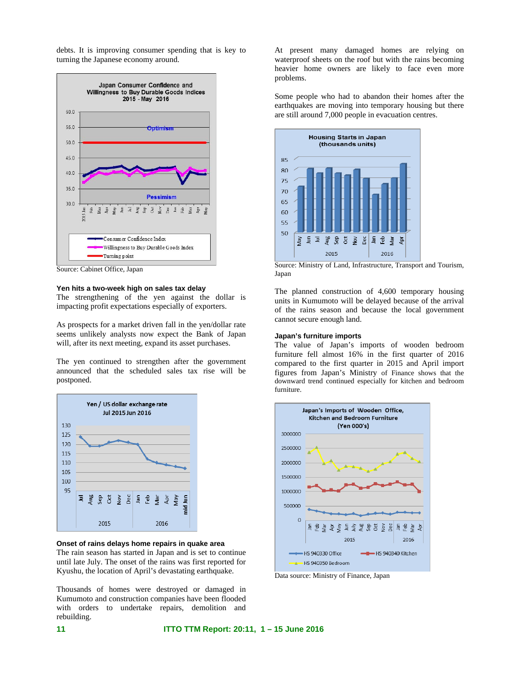debts. It is improving consumer spending that is key to turning the Japanese economy around.



Source: Cabinet Office, Japan

### **Yen hits a two-week high on sales tax delay**

The strengthening of the yen against the dollar is impacting profit expectations especially of exporters.

As prospects for a market driven fall in the yen/dollar rate seems unlikely analysts now expect the Bank of Japan will, after its next meeting, expand its asset purchases.

The yen continued to strengthen after the government announced that the scheduled sales tax rise will be postponed.



### **Onset of rains delays home repairs in quake area**

The rain season has started in Japan and is set to continue until late July. The onset of the rains was first reported for Kyushu, the location of April's devastating earthquake.

Thousands of homes were destroyed or damaged in Kumumoto and construction companies have been flooded with orders to undertake repairs, demolition and rebuilding.

At present many damaged homes are relying on waterproof sheets on the roof but with the rains becoming heavier home owners are likely to face even more problems.

Some people who had to abandon their homes after the earthquakes are moving into temporary housing but there are still around 7,000 people in evacuation centres.



Source: Ministry of Land, Infrastructure, Transport and Tourism, Japan

The planned construction of 4,600 temporary housing units in Kumumoto will be delayed because of the arrival of the rains season and because the local government cannot secure enough land.

# **Japan's furniture imports**

The value of Japan's imports of wooden bedroom furniture fell almost 16% in the first quarter of 2016 compared to the first quarter in 2015 and April import figures from Japan's Ministry of Finance shows that the downward trend continued especially for kitchen and bedroom furniture.



Data source: Ministry of Finance, Japan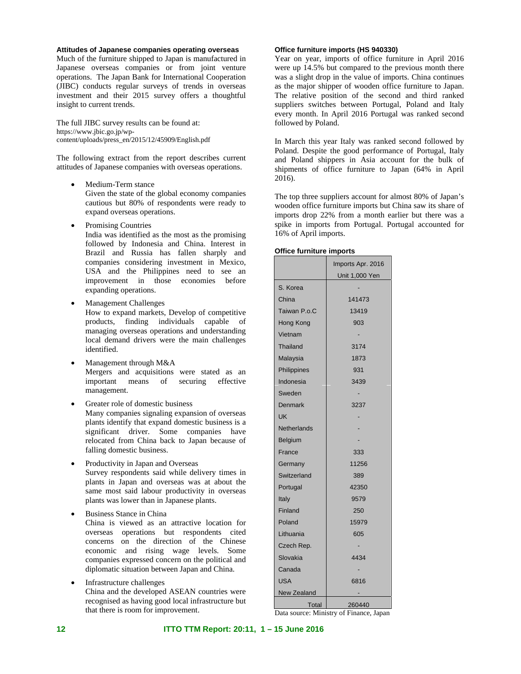# **Attitudes of Japanese companies operating overseas**

Much of the furniture shipped to Japan is manufactured in Japanese overseas companies or from joint venture operations. The Japan Bank for International Cooperation (JIBC) conducts regular surveys of trends in overseas investment and their 2015 survey offers a thoughtful insight to current trends.

The full JIBC survey results can be found at: https://www.jbic.go.jp/wpcontent/uploads/press\_en/2015/12/45909/English.pdf

The following extract from the report describes current attitudes of Japanese companies with overseas operations.

- Medium-Term stance
- Given the state of the global economy companies cautious but 80% of respondents were ready to expand overseas operations.
- Promising Countries

India was identified as the most as the promising followed by Indonesia and China. Interest in Brazil and Russia has fallen sharply and companies considering investment in Mexico, USA and the Philippines need to see an improvement in those economies before expanding operations.

- Management Challenges How to expand markets, Develop of competitive products, finding individuals capable of managing overseas operations and understanding local demand drivers were the main challenges identified.
- Management through M&A Mergers and acquisitions were stated as an important means of securing effective management.
- Greater role of domestic business Many companies signaling expansion of overseas plants identify that expand domestic business is a significant driver. Some companies have relocated from China back to Japan because of falling domestic business.
- Productivity in Japan and Overseas Survey respondents said while delivery times in plants in Japan and overseas was at about the same most said labour productivity in overseas plants was lower than in Japanese plants.
- Business Stance in China China is viewed as an attractive location for overseas operations but respondents cited concerns on the direction of the Chinese economic and rising wage levels. Some companies expressed concern on the political and diplomatic situation between Japan and China.
- Infrastructure challenges China and the developed ASEAN countries were recognised as having good local infrastructure but that there is room for improvement.

# **Office furniture imports (HS 940330)**

Year on year, imports of office furniture in April 2016 were up 14.5% but compared to the previous month there was a slight drop in the value of imports. China continues as the major shipper of wooden office furniture to Japan. The relative position of the second and third ranked suppliers switches between Portugal, Poland and Italy every month. In April 2016 Portugal was ranked second followed by Poland.

In March this year Italy was ranked second followed by Poland. Despite the good performance of Portugal, Italy and Poland shippers in Asia account for the bulk of shipments of office furniture to Japan (64% in April 2016).

The top three suppliers account for almost 80% of Japan's wooden office furniture imports but China saw its share of imports drop 22% from a month earlier but there was a spike in imports from Portugal. Portugal accounted for 16% of April imports.

# **Office furniture imports**

|              | Imports Apr. 2016     |  |
|--------------|-----------------------|--|
|              | <u>Unit 1,000 Yen</u> |  |
| S. Korea     |                       |  |
| China        | 141473                |  |
| Taiwan P.o.C | 13419                 |  |
| Hong Kong    | 903                   |  |
| Vietnam      |                       |  |
| Thailand     | 3174                  |  |
| Malaysia     | 1873                  |  |
| Philippines  | 931                   |  |
| Indonesia    | 3439                  |  |
| Sweden       |                       |  |
| Denmark      | 3237                  |  |
| UK           |                       |  |
| Netherlands  |                       |  |
| Belgium      |                       |  |
| France       | 333                   |  |
| Germany      | 11256                 |  |
| Switzerland  | 389                   |  |
| Portugal     | 42350                 |  |
| Italy        | 9579                  |  |
| Finland      | 250                   |  |
| Poland       | 15979                 |  |
| Lithuania    | 605                   |  |
| Czech Rep.   |                       |  |
| Slovakia     | 4434                  |  |
| Canada       |                       |  |
| USA          | 6816                  |  |
| New Zealand  |                       |  |
| Total        | 260440                |  |

Data source: Ministry of Finance, Japan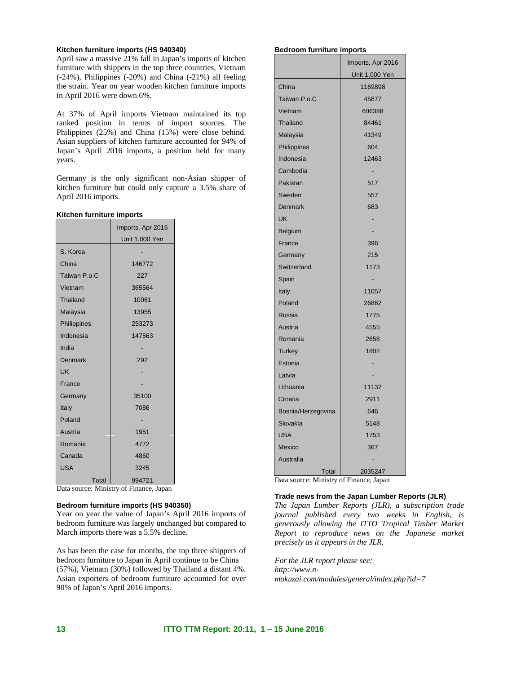# **Kitchen furniture imports (HS 940340)**

April saw a massive 21% fall in Japan's imports of kitchen furniture with shippers in the top three countries, Vietnam (-24%), Philippines (-20%) and China (-21%) all feeling the strain. Year on year wooden kitchen furniture imports in April 2016 were down 6%.

At 37% of April imports Vietnam maintained its top ranked position in terms of import sources. The Philippines (25%) and China (15%) were close behind. Asian suppliers of kitchen furniture accounted for 94% of Japan's April 2016 imports, a position held for many years.

Germany is the only significant non-Asian shipper of kitchen furniture but could only capture a 3.5% share of April 2016 imports.

# **Kitchen furniture imports**

|              | Imports, Apr 2016 |
|--------------|-------------------|
|              | Unit 1,000 Yen    |
| S. Korea     |                   |
| China        | 146772            |
| Taiwan P.o.C | 227               |
| Vietnam      | 365564            |
| Thailand     | 10061             |
| Malaysia     | 13955             |
| Philippines  | 253273            |
| Indonesia    | 147563            |
| India        |                   |
| Denmark      | 292               |
| UK           |                   |
| France       |                   |
| Germany      | 35100             |
| Italy        | 7086              |
| Poland       |                   |
| Austria      | 1951              |
| Romania      | 4772              |
| Canada       | 4860              |
| USA          | 3245              |
| Total        | 994721            |

Data source: Ministry of Finance, Japan

# **Bedroom furniture imports (HS 940350)**

Year on year the value of Japan's April 2016 imports of bedroom furniture was largely unchanged but compared to March imports there was a 5.5% decline.

As has been the case for months, the top three shippers of bedroom furniture to Japan in April continue to be China (57%), Vietnam (30%) followed by Thailand a distant 4%. Asian exporters of bedroom furniture accounted for over 90% of Japan's April 2016 imports.

#### **Bedroom furniture imports**

|                                      | Imports, Apr 2016 |
|--------------------------------------|-------------------|
|                                      | Unit 1,000 Yen    |
| China                                | 1169898           |
| Taiwan P.o.C                         | 45877             |
| Vietnam                              | 606388            |
| Thailand                             | 84461             |
| Malaysia                             | 41349             |
| Philippines                          | 604               |
| Indonesia                            | 12463             |
| Cambodia                             |                   |
| Pakistan                             | 517               |
| Sweden                               | 557               |
| Denmark                              | 683               |
| UK                                   |                   |
| Belgium                              |                   |
| France                               | 396               |
| Germany                              | 215               |
| Switzerland                          | 1173              |
| Spain                                |                   |
| Italy                                | 11057             |
| Poland                               | 26862             |
| Russia                               | 1775              |
| Austria                              | 4555              |
| Romania                              | 2658              |
| <b>Turkey</b>                        | 1802              |
| Estonia                              |                   |
| Latvia                               |                   |
| Lithuania                            | 11132             |
| Croatia                              | 2911              |
| Bosnia/Herzegovina                   | 646               |
| Slovakia                             | 5148              |
| <b>USA</b>                           | 1753              |
| <b>Mexico</b>                        | 367               |
| Australia                            |                   |
| Total<br>$\mathbf{D}_{\alpha}$<br>Æ. | 2035247<br>. с т  |

Data source: Ministry of Finance, Japan

# **Trade news from the Japan Lumber Reports (JLR)**

*The Japan Lumber Reports (JLR), a subscription trade journal published every two weeks in English, is generously allowing the ITTO Tropical Timber Market Report to reproduce news on the Japanese market precisely as it appears in the JLR.* 

*For the JLR report please see: http://www.nmokuzai.com/modules/general/index.php?id=7*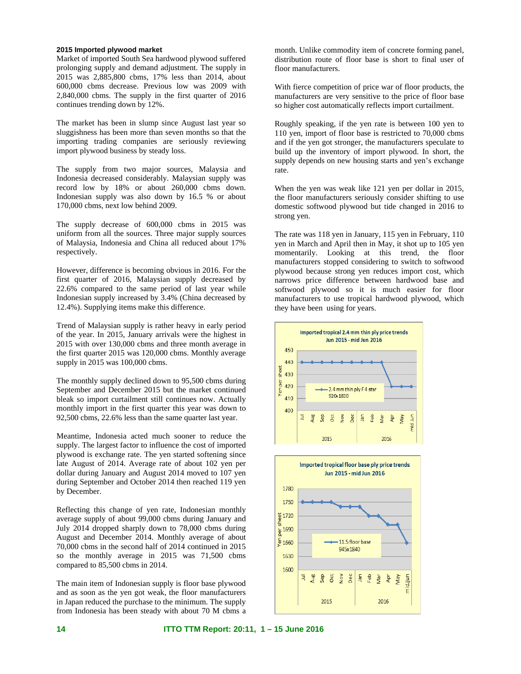# **2015 Imported plywood market**

Market of imported South Sea hardwood plywood suffered prolonging supply and demand adjustment. The supply in 2015 was 2,885,800 cbms, 17% less than 2014, about 600,000 cbms decrease. Previous low was 2009 with 2,840,000 cbms. The supply in the first quarter of 2016 continues trending down by 12%.

The market has been in slump since August last year so sluggishness has been more than seven months so that the importing trading companies are seriously reviewing import plywood business by steady loss.

The supply from two major sources, Malaysia and Indonesia decreased considerably. Malaysian supply was record low by 18% or about 260,000 cbms down. Indonesian supply was also down by 16.5 % or about 170,000 cbms, next low behind 2009.

The supply decrease of 600,000 cbms in 2015 was uniform from all the sources. Three major supply sources of Malaysia, Indonesia and China all reduced about 17% respectively.

However, difference is becoming obvious in 2016. For the first quarter of 2016, Malaysian supply decreased by 22.6% compared to the same period of last year while Indonesian supply increased by 3.4% (China decreased by 12.4%). Supplying items make this difference.

Trend of Malaysian supply is rather heavy in early period of the year. In 2015, January arrivals were the highest in 2015 with over 130,000 cbms and three month average in the first quarter 2015 was 120,000 cbms. Monthly average supply in 2015 was 100,000 cbms.

The monthly supply declined down to 95,500 cbms during September and December 2015 but the market continued bleak so import curtailment still continues now. Actually monthly import in the first quarter this year was down to 92,500 cbms, 22.6% less than the same quarter last year.

Meantime, Indonesia acted much sooner to reduce the supply. The largest factor to influence the cost of imported plywood is exchange rate. The yen started softening since late August of 2014. Average rate of about 102 yen per dollar during January and August 2014 moved to 107 yen during September and October 2014 then reached 119 yen by December.

Reflecting this change of yen rate, Indonesian monthly average supply of about 99,000 cbms during January and July 2014 dropped sharply down to 78,000 cbms during August and December 2014. Monthly average of about 70,000 cbms in the second half of 2014 continued in 2015 so the monthly average in 2015 was 71,500 cbms compared to 85,500 cbms in 2014.

The main item of Indonesian supply is floor base plywood and as soon as the yen got weak, the floor manufacturers in Japan reduced the purchase to the minimum. The supply from Indonesia has been steady with about 70 M cbms a

month. Unlike commodity item of concrete forming panel, distribution route of floor base is short to final user of floor manufacturers.

With fierce competition of price war of floor products, the manufacturers are very sensitive to the price of floor base so higher cost automatically reflects import curtailment.

Roughly speaking, if the yen rate is between 100 yen to 110 yen, import of floor base is restricted to 70,000 cbms and if the yen got stronger, the manufacturers speculate to build up the inventory of import plywood. In short, the supply depends on new housing starts and yen's exchange rate.

When the yen was weak like 121 yen per dollar in 2015, the floor manufacturers seriously consider shifting to use domestic softwood plywood but tide changed in 2016 to strong yen.

The rate was 118 yen in January, 115 yen in February, 110 yen in March and April then in May, it shot up to 105 yen momentarily. Looking at this trend, the floor manufacturers stopped considering to switch to softwood plywood because strong yen reduces import cost, which narrows price difference between hardwood base and softwood plywood so it is much easier for floor manufacturers to use tropical hardwood plywood, which they have been using for years.



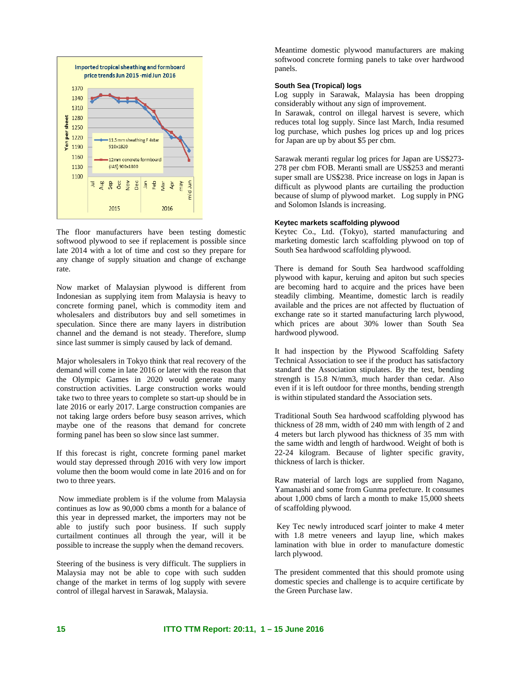

The floor manufacturers have been testing domestic softwood plywood to see if replacement is possible since late 2014 with a lot of time and cost so they prepare for any change of supply situation and change of exchange rate.

Now market of Malaysian plywood is different from Indonesian as supplying item from Malaysia is heavy to concrete forming panel, which is commodity item and wholesalers and distributors buy and sell sometimes in speculation. Since there are many layers in distribution channel and the demand is not steady. Therefore, slump since last summer is simply caused by lack of demand.

Major wholesalers in Tokyo think that real recovery of the demand will come in late 2016 or later with the reason that the Olympic Games in 2020 would generate many construction activities. Large construction works would take two to three years to complete so start-up should be in late 2016 or early 2017. Large construction companies are not taking large orders before busy season arrives, which maybe one of the reasons that demand for concrete forming panel has been so slow since last summer.

If this forecast is right, concrete forming panel market would stay depressed through 2016 with very low import volume then the boom would come in late 2016 and on for two to three years.

 Now immediate problem is if the volume from Malaysia continues as low as 90,000 cbms a month for a balance of this year in depressed market, the importers may not be able to justify such poor business. If such supply curtailment continues all through the year, will it be possible to increase the supply when the demand recovers.

Steering of the business is very difficult. The suppliers in Malaysia may not be able to cope with such sudden change of the market in terms of log supply with severe control of illegal harvest in Sarawak, Malaysia.

Meantime domestic plywood manufacturers are making softwood concrete forming panels to take over hardwood panels.

# **South Sea (Tropical) logs**

Log supply in Sarawak, Malaysia has been dropping considerably without any sign of improvement.

In Sarawak, control on illegal harvest is severe, which reduces total log supply. Since last March, India resumed log purchase, which pushes log prices up and log prices for Japan are up by about \$5 per cbm.

Sarawak meranti regular log prices for Japan are US\$273- 278 per cbm FOB. Meranti small are US\$253 and meranti super small are US\$238. Price increase on logs in Japan is difficult as plywood plants are curtailing the production because of slump of plywood market. Log supply in PNG and Solomon Islands is increasing.

# **Keytec markets scaffolding plywood**

Keytec Co., Ltd. (Tokyo), started manufacturing and marketing domestic larch scaffolding plywood on top of South Sea hardwood scaffolding plywood.

There is demand for South Sea hardwood scaffolding plywood with kapur, keruing and apiton but such species are becoming hard to acquire and the prices have been steadily climbing. Meantime, domestic larch is readily available and the prices are not affected by fluctuation of exchange rate so it started manufacturing larch plywood, which prices are about 30% lower than South Sea hardwood plywood.

It had inspection by the Plywood Scaffolding Safety Technical Association to see if the product has satisfactory standard the Association stipulates. By the test, bending strength is 15.8 N/mm3, much harder than cedar. Also even if it is left outdoor for three months, bending strength is within stipulated standard the Association sets.

Traditional South Sea hardwood scaffolding plywood has thickness of 28 mm, width of 240 mm with length of 2 and 4 meters but larch plywood has thickness of 35 mm with the same width and length of hardwood. Weight of both is 22-24 kilogram. Because of lighter specific gravity, thickness of larch is thicker.

Raw material of larch logs are supplied from Nagano, Yamanashi and some from Gunma prefecture. It consumes about 1,000 cbms of larch a month to make 15,000 sheets of scaffolding plywood.

 Key Tec newly introduced scarf jointer to make 4 meter with 1.8 metre veneers and layup line, which makes lamination with blue in order to manufacture domestic larch plywood.

The president commented that this should promote using domestic species and challenge is to acquire certificate by the Green Purchase law.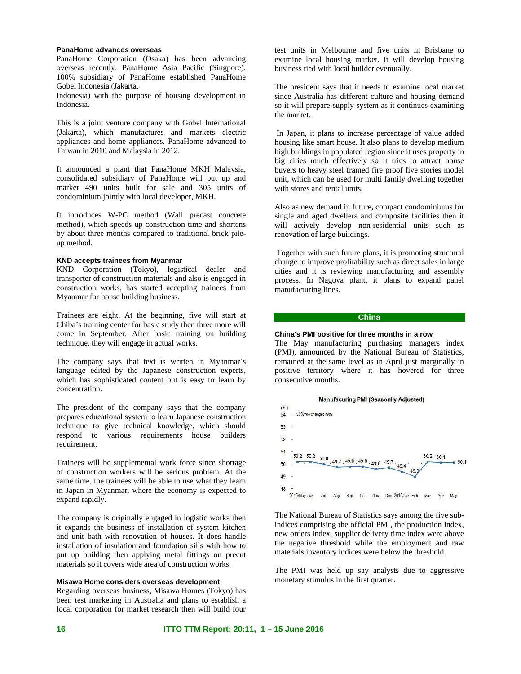# **PanaHome advances overseas**

PanaHome Corporation (Osaka) has been advancing overseas recently. PanaHome Asia Pacific (Singpore), 100% subsidiary of PanaHome established PanaHome Gobel Indonesia (Jakarta,

Indonesia) with the purpose of housing development in Indonesia.

This is a joint venture company with Gobel International (Jakarta), which manufactures and markets electric appliances and home appliances. PanaHome advanced to Taiwan in 2010 and Malaysia in 2012.

It announced a plant that PanaHome MKH Malaysia, consolidated subsidiary of PanaHome will put up and market 490 units built for sale and 305 units of condominium jointly with local developer, MKH.

It introduces W-PC method (Wall precast concrete method), which speeds up construction time and shortens by about three months compared to traditional brick pileup method.

# **KND accepts trainees from Myanmar**

KND Corporation (Tokyo), logistical dealer and transporter of construction materials and also is engaged in construction works, has started accepting trainees from Myanmar for house building business.

Trainees are eight. At the beginning, five will start at Chiba's training center for basic study then three more will come in September. After basic training on building technique, they will engage in actual works.

The company says that text is written in Myanmar's language edited by the Japanese construction experts, which has sophisticated content but is easy to learn by concentration.

The president of the company says that the company prepares educational system to learn Japanese construction technique to give technical knowledge, which should respond to various requirements house builders requirement.

Trainees will be supplemental work force since shortage of construction workers will be serious problem. At the same time, the trainees will be able to use what they learn in Japan in Myanmar, where the economy is expected to expand rapidly.

The company is originally engaged in logistic works then it expands the business of installation of system kitchen and unit bath with renovation of houses. It does handle installation of insulation and foundation sills with how to put up building then applying metal fittings on precut materials so it covers wide area of construction works.

# **Misawa Home considers overseas development**

Regarding overseas business, Misawa Homes (Tokyo) has been test marketing in Australia and plans to establish a local corporation for market research then will build four test units in Melbourne and five units in Brisbane to examine local housing market. It will develop housing business tied with local builder eventually.

The president says that it needs to examine local market since Australia has different culture and housing demand so it will prepare supply system as it continues examining the market.

 In Japan, it plans to increase percentage of value added housing like smart house. It also plans to develop medium high buildings in populated region since it uses property in big cities much effectively so it tries to attract house buyers to heavy steel framed fire proof five stories model unit, which can be used for multi family dwelling together with stores and rental units.

Also as new demand in future, compact condominiums for single and aged dwellers and composite facilities then it will actively develop non-residential units such as renovation of large buildings.

 Together with such future plans, it is promoting structural change to improve profitability such as direct sales in large cities and it is reviewing manufacturing and assembly process. In Nagoya plant, it plans to expand panel manufacturing lines.

# **China**

# **China's PMI positive for three months in a row**

The May manufacturing purchasing managers index (PMI), announced by the National Bureau of Statistics, remained at the same level as in April just marginally in positive territory where it has hovered for three consecutive months.



The National Bureau of Statistics says among the five subindices comprising the official PMI, the production index, new orders index, supplier delivery time index were above the negative threshold while the employment and raw materials inventory indices were below the threshold.

The PMI was held up say analysts due to aggressive monetary stimulus in the first quarter.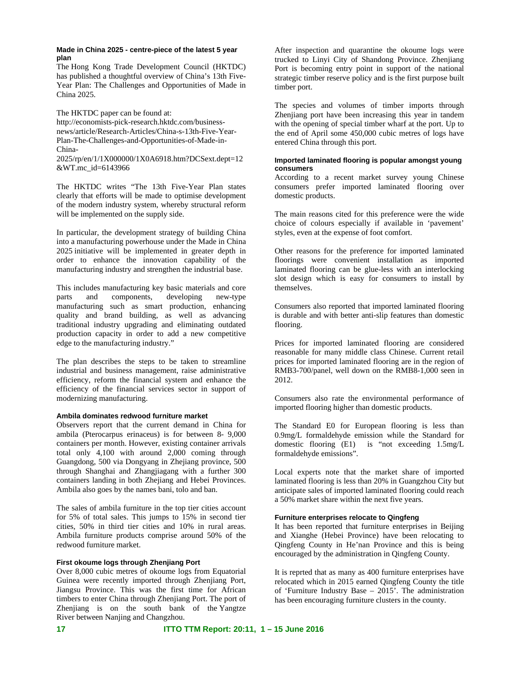# **Made in China 2025 - centre-piece of the latest 5 year plan**

The Hong Kong Trade Development Council (HKTDC) has published a thoughtful overview of China's 13th Five-Year Plan: The Challenges and Opportunities of Made in China 2025.

The HKTDC paper can be found at: http://economists-pick-research.hktdc.com/businessnews/article/Research-Articles/China-s-13th-Five-Year-Plan-The-Challenges-and-Opportunities-of-Made-in-China-

2025/rp/en/1/1X000000/1X0A6918.htm?DCSext.dept=12 &WT.mc\_id=6143966

The HKTDC writes "The 13th Five-Year Plan states clearly that efforts will be made to optimise development of the modern industry system, whereby structural reform will be implemented on the supply side.

In particular, the development strategy of building China into a manufacturing powerhouse under the Made in China 2025 initiative will be implemented in greater depth in order to enhance the innovation capability of the manufacturing industry and strengthen the industrial base.

This includes manufacturing key basic materials and core parts and components, developing new-type manufacturing such as smart production, enhancing quality and brand building, as well as advancing traditional industry upgrading and eliminating outdated production capacity in order to add a new competitive edge to the manufacturing industry."

The plan describes the steps to be taken to streamline industrial and business management, raise administrative efficiency, reform the financial system and enhance the efficiency of the financial services sector in support of modernizing manufacturing.

# **Ambila dominates redwood furniture market**

Observers report that the current demand in China for ambila (Pterocarpus erinaceus) is for between 8- 9,000 containers per month. However, existing container arrivals total only 4,100 with around 2,000 coming through Guangdong, 500 via Dongyang in Zhejiang province, 500 through Shanghai and Zhangjiagang with a further 300 containers landing in both Zhejiang and Hebei Provinces. Ambila also goes by the names bani, tolo and ban.

The sales of ambila furniture in the top tier cities account for 5% of total sales. This jumps to 15% in second tier cities, 50% in third tier cities and 10% in rural areas. Ambila furniture products comprise around 50% of the redwood furniture market.

# **First okoume logs through Zhenjiang Port**

Over 8,000 cubic metres of okoume logs from Equatorial Guinea were recently imported through Zhenjiang Port, Jiangsu Province. This was the first time for African timbers to enter China through Zhenjiang Port. The port of Zhenjiang is on the south bank of the Yangtze River between Nanjing and Changzhou.

After inspection and quarantine the okoume logs were trucked to Linyi City of Shandong Province. Zhenjiang Port is becoming entry point in support of the national strategic timber reserve policy and is the first purpose built timber port.

The species and volumes of timber imports through Zhenijang port have been increasing this year in tandem with the opening of special timber wharf at the port. Up to the end of April some 450,000 cubic metres of logs have entered China through this port.

# **Imported laminated flooring is popular amongst young consumers**

According to a recent market survey young Chinese consumers prefer imported laminated flooring over domestic products.

The main reasons cited for this preference were the wide choice of colours especially if available in 'pavement' styles, even at the expense of foot comfort.

Other reasons for the preference for imported laminated floorings were convenient installation as imported laminated flooring can be glue-less with an interlocking slot design which is easy for consumers to install by themselves.

Consumers also reported that imported laminated flooring is durable and with better anti-slip features than domestic flooring.

Prices for imported laminated flooring are considered reasonable for many middle class Chinese. Current retail prices for imported laminated flooring are in the region of RMB3-700/panel, well down on the RMB8-1,000 seen in 2012.

Consumers also rate the environmental performance of imported flooring higher than domestic products.

The Standard E0 for European flooring is less than 0.9mg/L formaldehyde emission while the Standard for domestic flooring (E1) is "not exceeding 1.5mg/L formaldehyde emissions".

Local experts note that the market share of imported laminated flooring is less than 20% in Guangzhou City but anticipate sales of imported laminated flooring could reach a 50% market share within the next five years.

# **Furniture enterprises relocate to Qingfeng**

It has been reported that furniture enterprises in Beijing and Xianghe (Hebei Province) have been relocating to Qingfeng County in He'nan Province and this is being encouraged by the administration in Qingfeng County.

It is reprted that as many as 400 furniture enterprises have relocated which in 2015 earned Qingfeng County the title of 'Furniture Industry Base – 2015'. The administration has been encouraging furniture clusters in the county.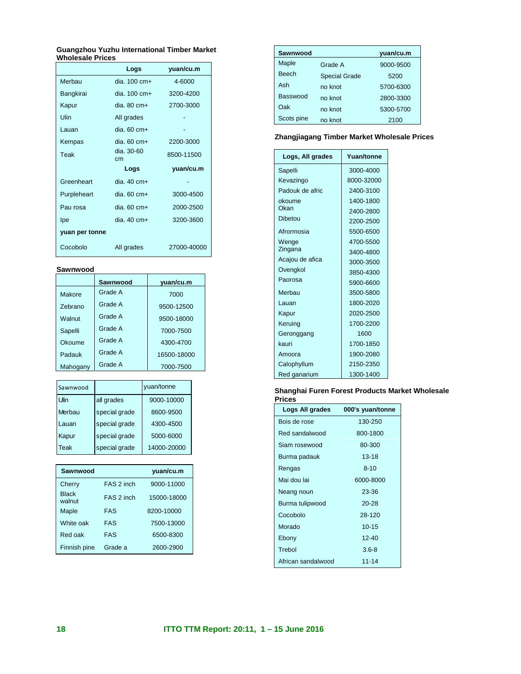#### **Guangzhou Yuzhu International Timber Market Wholesale Prices**

|                | Logs                  | yuan/cu.m   |
|----------------|-----------------------|-------------|
| Merbau         | dia. 100 cm+          | 4-6000      |
| Bangkirai      | dia. 100 cm+          | 3200-4200   |
| Kapur          | dia. 80 cm+           | 2700-3000   |
| Ulin           | All grades            |             |
| Lauan          | dia. 60 cm+           |             |
| Kempas         | dia. $60 \text{ cm}+$ | 2200-3000   |
| Teak           | dia. 30-60<br>cm      | 8500-11500  |
|                | Logs                  | yuan/cu.m   |
| Greenheart     | dia. $40 \text{ cm}+$ |             |
| Purpleheart    | dia. 60 cm+           | 3000-4500   |
| Pau rosa       | $dia.60 cm+$          | 2000-2500   |
| lpe            | dia. 40 cm+           | 3200-3600   |
| yuan per tonne |                       |             |
| Cocobolo       | All grades            | 27000-40000 |

# **Sawnwood**

|          | Sawnwood | yuan/cu.m   |
|----------|----------|-------------|
|          |          |             |
| Makore   | Grade A  | 7000        |
| Zebrano  | Grade A  | 9500-12500  |
| Walnut   | Grade A  | 9500-18000  |
| Sapelli  | Grade A  | 7000-7500   |
| Okoume   | Grade A  | 4300-4700   |
| Padauk   | Grade A  | 16500-18000 |
| Mahogany | Grade A  | 7000-7500   |

| Sawnwood    |               | yuan/tonne  |
|-------------|---------------|-------------|
| Ulin        | all grades    | 9000-10000  |
| Merbau      | special grade | 8600-9500   |
| Lauan       | special grade | 4300-4500   |
| Kapur       | special grade | 5000-6000   |
| <b>Teak</b> | special grade | 14000-20000 |

| Sawnwood               |            | yuan/cu.m   |
|------------------------|------------|-------------|
| Cherry                 | FAS 2 inch | 9000-11000  |
| <b>Black</b><br>walnut | FAS 2 inch | 15000-18000 |
| Maple                  | <b>FAS</b> | 8200-10000  |
| White oak              | <b>FAS</b> | 7500-13000  |
| Red oak                | <b>FAS</b> | 6500-8300   |
| Finnish pine           | Grade a    | 2600-2900   |

| Sawnwood     |                      | yuan/cu.m |
|--------------|----------------------|-----------|
| Maple        | Grade A              | 9000-9500 |
| <b>Beech</b> | <b>Special Grade</b> | 5200      |
| Ash          | no knot              | 5700-6300 |
| Basswood     | no knot              | 2800-3300 |
| Oak          | no knot              | 5300-5700 |
| Scots pine   | no knot              | 2100      |

# **Zhangjiagang Timber Market Wholesale Prices**

| Logs, All grades | Yuan/tonne |
|------------------|------------|
| Sapelli          | 3000-4000  |
| Kevazingo        | 8000-32000 |
| Padouk de afric  | 2400-3100  |
| okoume           | 1400-1800  |
| Okan             | 2400-2800  |
| Dibetou          | 2200-2500  |
| Afrormosia       | 5500-6500  |
| Wenge            | 4700-5500  |
| Zingana          | 3400-4800  |
| Acajou de afica  | 3000-3500  |
| Ovengkol         | 3850-4300  |
| Paorosa          | 5900-6600  |
| Merbau           | 3500-5800  |
| Lauan            | 1800-2020  |
| Kapur            | 2020-2500  |
| Keruing          | 1700-2200  |
| Geronggang       | 1600       |
| kauri            | 1700-1850  |
| Amoora           | 1900-2080  |
| Calophyllum      | 2150-2350  |
| Red ganarium     | 1300-1400  |

# **Shanghai Furen Forest Products Market Wholesale Prices**

| Logs All grades    | 000's yuan/tonne |
|--------------------|------------------|
| Bois de rose       | 130-250          |
| Red sandalwood     | 800-1800         |
| Siam rosewood      | 80-300           |
| Burma padauk       | $13 - 18$        |
| Rengas             | $8 - 10$         |
| Mai dou lai        | 6000-8000        |
| Neang noun         | 23-36            |
| Burma tulipwood    | $20 - 28$        |
| Cocobolo           | 28-120           |
| Morado             | $10 - 15$        |
| Ebony              | $12 - 40$        |
| Trebol             | $3.6 - 8$        |
| African sandalwood | $11 - 14$        |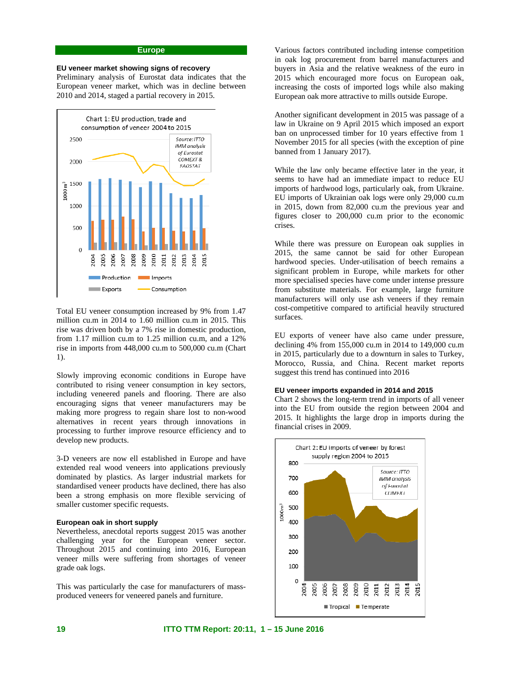# **Europe**

# **EU veneer market showing signs of recovery**

Preliminary analysis of Eurostat data indicates that the European veneer market, which was in decline between 2010 and 2014, staged a partial recovery in 2015.



Total EU veneer consumption increased by 9% from 1.47 million cu.m in 2014 to 1.60 million cu.m in 2015. This rise was driven both by a 7% rise in domestic production, from 1.17 million cu.m to 1.25 million cu.m, and a 12% rise in imports from 448,000 cu.m to 500,000 cu.m (Chart 1).

Slowly improving economic conditions in Europe have contributed to rising veneer consumption in key sectors, including veneered panels and flooring. There are also encouraging signs that veneer manufacturers may be making more progress to regain share lost to non-wood alternatives in recent years through innovations in processing to further improve resource efficiency and to develop new products.

3-D veneers are now ell established in Europe and have extended real wood veneers into applications previously dominated by plastics. As larger industrial markets for standardised veneer products have declined, there has also been a strong emphasis on more flexible servicing of smaller customer specific requests.

### **European oak in short supply**

Nevertheless, anecdotal reports suggest 2015 was another challenging year for the European veneer sector. Throughout 2015 and continuing into 2016, European veneer mills were suffering from shortages of veneer grade oak logs.

This was particularly the case for manufacturers of massproduced veneers for veneered panels and furniture.

Various factors contributed including intense competition in oak log procurement from barrel manufacturers and buyers in Asia and the relative weakness of the euro in 2015 which encouraged more focus on European oak, increasing the costs of imported logs while also making European oak more attractive to mills outside Europe.

Another significant development in 2015 was passage of a law in Ukraine on 9 April 2015 which imposed an export ban on unprocessed timber for 10 years effective from 1 November 2015 for all species (with the exception of pine banned from 1 January 2017).

While the law only became effective later in the year, it seems to have had an immediate impact to reduce EU imports of hardwood logs, particularly oak, from Ukraine. EU imports of Ukrainian oak logs were only 29,000 cu.m in 2015, down from 82,000 cu.m the previous year and figures closer to 200,000 cu.m prior to the economic crises.

While there was pressure on European oak supplies in 2015, the same cannot be said for other European hardwood species. Under-utilisation of beech remains a significant problem in Europe, while markets for other more specialised species have come under intense pressure from substitute materials. For example, large furniture manufacturers will only use ash veneers if they remain cost-competitive compared to artificial heavily structured surfaces.

EU exports of veneer have also came under pressure, declining 4% from 155,000 cu.m in 2014 to 149,000 cu.m in 2015, particularly due to a downturn in sales to Turkey, Morocco, Russia, and China. Recent market reports suggest this trend has continued into 2016

#### **EU veneer imports expanded in 2014 and 2015**

Chart 2 shows the long-term trend in imports of all veneer into the EU from outside the region between 2004 and 2015. It highlights the large drop in imports during the financial crises in 2009.

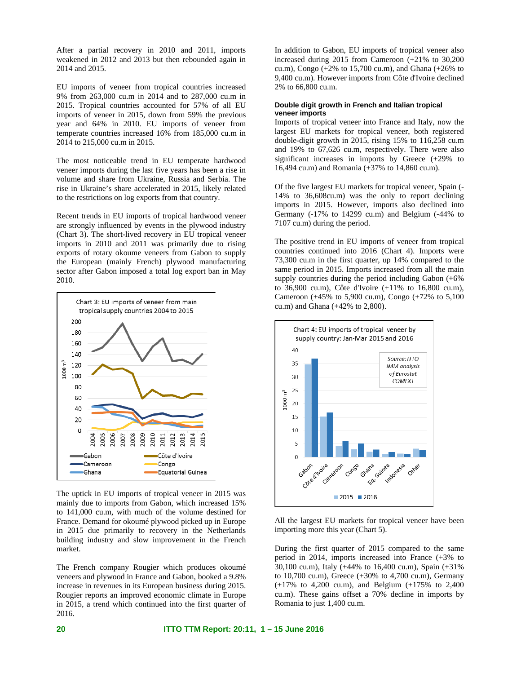After a partial recovery in 2010 and 2011, imports weakened in 2012 and 2013 but then rebounded again in 2014 and 2015.

EU imports of veneer from tropical countries increased 9% from 263,000 cu.m in 2014 and to 287,000 cu.m in 2015. Tropical countries accounted for 57% of all EU imports of veneer in 2015, down from 59% the previous year and 64% in 2010. EU imports of veneer from temperate countries increased 16% from 185,000 cu.m in 2014 to 215,000 cu.m in 2015.

The most noticeable trend in EU temperate hardwood veneer imports during the last five years has been a rise in volume and share from Ukraine, Russia and Serbia. The rise in Ukraine's share accelerated in 2015, likely related to the restrictions on log exports from that country.

Recent trends in EU imports of tropical hardwood veneer are strongly influenced by events in the plywood industry (Chart 3). The short-lived recovery in EU tropical veneer imports in 2010 and 2011 was primarily due to rising exports of rotary okoume veneers from Gabon to supply the European (mainly French) plywood manufacturing sector after Gabon imposed a total log export ban in May 2010.



The uptick in EU imports of tropical veneer in 2015 was mainly due to imports from Gabon, which increased 15% to 141,000 cu.m, with much of the volume destined for France. Demand for okoumé plywood picked up in Europe in 2015 due primarily to recovery in the Netherlands building industry and slow improvement in the French market.

The French company Rougier which produces okoumé veneers and plywood in France and Gabon, booked a 9.8% increase in revenues in its European business during 2015. Rougier reports an improved economic climate in Europe in 2015, a trend which continued into the first quarter of 2016.

In addition to Gabon, EU imports of tropical veneer also increased during 2015 from Cameroon (+21% to 30,200 cu.m), Congo (+2% to 15,700 cu.m), and Ghana (+26% to 9,400 cu.m). However imports from Côte d'Ivoire declined 2% to 66,800 cu.m.

# **Double digit growth in French and Italian tropical veneer imports**

Imports of tropical veneer into France and Italy, now the largest EU markets for tropical veneer, both registered double-digit growth in 2015, rising 15% to 116,258 cu.m and 19% to 67,626 cu.m, respectively. There were also significant increases in imports by Greece (+29% to 16,494 cu.m) and Romania (+37% to 14,860 cu.m).

Of the five largest EU markets for tropical veneer, Spain (- 14% to 36,608cu.m) was the only to report declining imports in 2015. However, imports also declined into Germany (-17% to 14299 cu.m) and Belgium (-44% to 7107 cu.m) during the period.

The positive trend in EU imports of veneer from tropical countries continued into 2016 (Chart 4). Imports were 73,300 cu.m in the first quarter, up 14% compared to the same period in 2015. Imports increased from all the main supply countries during the period including Gabon (+6% to 36,900 cu.m), Côte d'Ivoire (+11% to 16,800 cu.m), Cameroon (+45% to 5,900 cu.m), Congo (+72% to 5,100 cu.m) and Ghana (+42% to 2,800).



All the largest EU markets for tropical veneer have been importing more this year (Chart 5).

During the first quarter of 2015 compared to the same period in 2014, imports increased into France (+3% to 30,100 cu.m), Italy (+44% to 16,400 cu.m), Spain (+31% to 10,700 cu.m), Greece (+30% to 4,700 cu.m), Germany (+17% to 4,200 cu.m), and Belgium (+175% to 2,400 cu.m). These gains offset a 70% decline in imports by Romania to just 1,400 cu.m.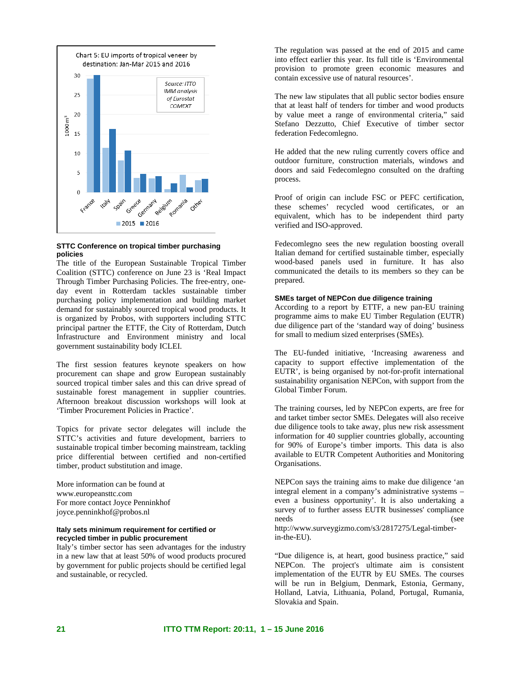

# **STTC Conference on tropical timber purchasing policies**

The title of the European Sustainable Tropical Timber Coalition (STTC) conference on June 23 is 'Real Impact Through Timber Purchasing Policies. The free-entry, oneday event in Rotterdam tackles sustainable timber purchasing policy implementation and building market demand for sustainably sourced tropical wood products. It is organized by Probos, with supporters including STTC principal partner the ETTF, the City of Rotterdam, Dutch Infrastructure and Environment ministry and local government sustainability body ICLEI.

The first session features keynote speakers on how procurement can shape and grow European sustainably sourced tropical timber sales and this can drive spread of sustainable forest management in supplier countries. Afternoon breakout discussion workshops will look at 'Timber Procurement Policies in Practice'.

Topics for private sector delegates will include the STTC's activities and future development, barriers to sustainable tropical timber becoming mainstream, tackling price differential between certified and non-certified timber, product substitution and image.

More information can be found at www.europeansttc.com For more contact Joyce Penninkhof joyce.penninkhof@probos.nl

# **Italy sets minimum requirement for certified or recycled timber in public procurement**

Italy's timber sector has seen advantages for the industry in a new law that at least 50% of wood products procured by government for public projects should be certified legal and sustainable, or recycled.

The regulation was passed at the end of 2015 and came into effect earlier this year. Its full title is 'Environmental provision to promote green economic measures and contain excessive use of natural resources'.

The new law stipulates that all public sector bodies ensure that at least half of tenders for timber and wood products by value meet a range of environmental criteria," said Stefano Dezzutto, Chief Executive of timber sector federation Fedecomlegno.

He added that the new ruling currently covers office and outdoor furniture, construction materials, windows and doors and said Fedecomlegno consulted on the drafting process.

Proof of origin can include FSC or PEFC certification, these schemes' recycled wood certificates, or an equivalent, which has to be independent third party verified and ISO-approved.

Fedecomlegno sees the new regulation boosting overall Italian demand for certified sustainable timber, especially wood-based panels used in furniture. It has also communicated the details to its members so they can be prepared.

# **SMEs target of NEPCon due diligence training**

According to a report by ETTF, a new pan-EU training programme aims to make EU Timber Regulation (EUTR) due diligence part of the 'standard way of doing' business for small to medium sized enterprises (SMEs).

The EU-funded initiative, 'Increasing awareness and capacity to support effective implementation of the EUTR', is being organised by not-for-profit international sustainability organisation NEPCon, with support from the Global Timber Forum.

The training courses, led by NEPCon experts, are free for and tarket timber sector SMEs. Delegates will also receive due diligence tools to take away, plus new risk assessment information for 40 supplier countries globally, accounting for 90% of Europe's timber imports. This data is also available to EUTR Competent Authorities and Monitoring Organisations.

NEPCon says the training aims to make due diligence 'an integral element in a company's administrative systems – even a business opportunity'. It is also undertaking a survey of to further assess EUTR businesses' compliance needs (see http://www.surveygizmo.com/s3/2817275/Legal-timber-

in-the-EU).

"Due diligence is, at heart, good business practice," said NEPCon. The project's ultimate aim is consistent implementation of the EUTR by EU SMEs. The courses will be run in Belgium, Denmark, Estonia, Germany, Holland, Latvia, Lithuania, Poland, Portugal, Rumania, Slovakia and Spain.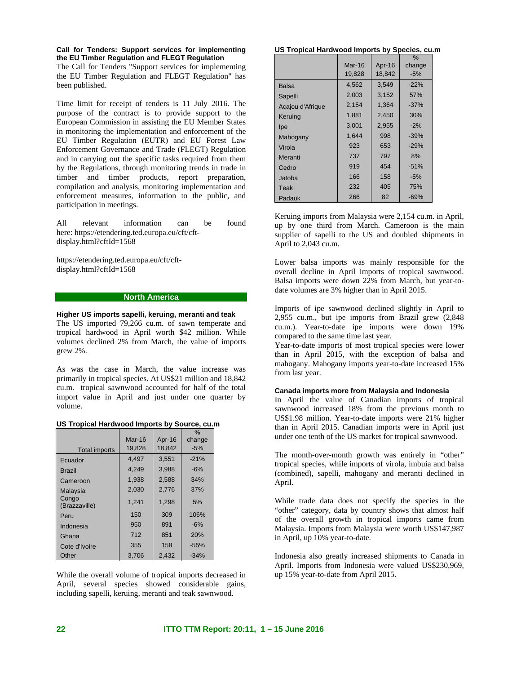**Call for Tenders: Support services for implementing the EU Timber Regulation and FLEGT Regulation** 

The Call for Tenders "Support services for implementing the EU Timber Regulation and FLEGT Regulation" has been published.

Time limit for receipt of tenders is 11 July 2016. The purpose of the contract is to provide support to the European Commission in assisting the EU Member States in monitoring the implementation and enforcement of the EU Timber Regulation (EUTR) and EU Forest Law Enforcement Governance and Trade (FLEGT) Regulation and in carrying out the specific tasks required from them by the Regulations, through monitoring trends in trade in timber and timber products, report preparation, compilation and analysis, monitoring implementation and enforcement measures, information to the public, and participation in meetings.

All relevant information can be found here: https://etendering.ted.europa.eu/cft/cftdisplay.html?cftId=1568

https://etendering.ted.europa.eu/cft/cftdisplay.html?cftId=1568

# **North America**

**Higher US imports sapelli, keruing, meranti and teak**  The US imported 79,266 cu.m. of sawn temperate and tropical hardwood in April worth \$42 million. While volumes declined 2% from March, the value of imports grew 2%.

As was the case in March, the value increase was primarily in tropical species. At US\$21 million and 18,842 cu.m. tropical sawnwood accounted for half of the total import value in April and just under one quarter by volume.

### **US Tropical Hardwood Imports by Source, cu.m**

|                        |          |        | $\%$   |
|------------------------|----------|--------|--------|
|                        | $Mar-16$ | Apr-16 | change |
| <b>Total imports</b>   | 19,828   | 18.842 | $-5%$  |
| Ecuador                | 4.497    | 3,551  | $-21%$ |
| <b>Brazil</b>          | 4.249    | 3.988  | $-6\%$ |
| Cameroon               | 1.938    | 2.588  | 34%    |
| Malaysia               | 2.030    | 2.776  | 37%    |
| Congo<br>(Brazzaville) | 1,241    | 1,298  | 5%     |
| Peru                   | 150      | 309    | 106%   |
| Indonesia              | 950      | 891    | $-6%$  |
| Ghana                  | 712      | 851    | 20%    |
| Cote d'Ivoire          | 355      | 158    | $-55%$ |
| Other                  | 3.706    | 2.432  | $-34%$ |

While the overall volume of tropical imports decreased in April, several species showed considerable gains, including sapelli, keruing, meranti and teak sawnwood.

#### **US Tropical Hardwood Imports by Species, cu.m**

|                  |        |        | $\%$   |
|------------------|--------|--------|--------|
|                  | Mar-16 | Apr-16 | change |
|                  | 19,828 | 18,842 | $-5%$  |
| Balsa            | 4,562  | 3,549  | $-22%$ |
| Sapelli          | 2,003  | 3,152  | 57%    |
| Acajou d'Afrique | 2,154  | 1.364  | $-37%$ |
| Keruing          | 1,881  | 2,450  | 30%    |
| lpe              | 3,001  | 2,955  | $-2%$  |
| Mahogany         | 1.644  | 998    | $-39%$ |
| Virola           | 923    | 653    | $-29%$ |
| Meranti          | 737    | 797    | 8%     |
| Cedro            | 919    | 454    | $-51%$ |
| Jatoba           | 166    | 158    | $-5%$  |
| Teak             | 232    | 405    | 75%    |
| Padauk           | 266    | 82     | -69%   |

Keruing imports from Malaysia were 2,154 cu.m. in April, up by one third from March. Cameroon is the main supplier of sapelli to the US and doubled shipments in April to 2,043 cu.m.

Lower balsa imports was mainly responsible for the overall decline in April imports of tropical sawnwood. Balsa imports were down 22% from March, but year-todate volumes are 3% higher than in April 2015.

Imports of ipe sawnwood declined slightly in April to 2,955 cu.m., but ipe imports from Brazil grew (2,848 cu.m.). Year-to-date ipe imports were down 19% compared to the same time last year.

Year-to-date imports of most tropical species were lower than in April 2015, with the exception of balsa and mahogany. Mahogany imports year-to-date increased 15% from last year.

#### **Canada imports more from Malaysia and Indonesia**

In April the value of Canadian imports of tropical sawnwood increased 18% from the previous month to US\$1.98 million. Year-to-date imports were 21% higher than in April 2015. Canadian imports were in April just under one tenth of the US market for tropical sawnwood.

The month-over-month growth was entirely in "other" tropical species, while imports of virola, imbuia and balsa (combined), sapelli, mahogany and meranti declined in April.

While trade data does not specify the species in the "other" category, data by country shows that almost half of the overall growth in tropical imports came from Malaysia. Imports from Malaysia were worth US\$147,987 in April, up 10% year-to-date.

Indonesia also greatly increased shipments to Canada in April. Imports from Indonesia were valued US\$230,969, up 15% year-to-date from April 2015.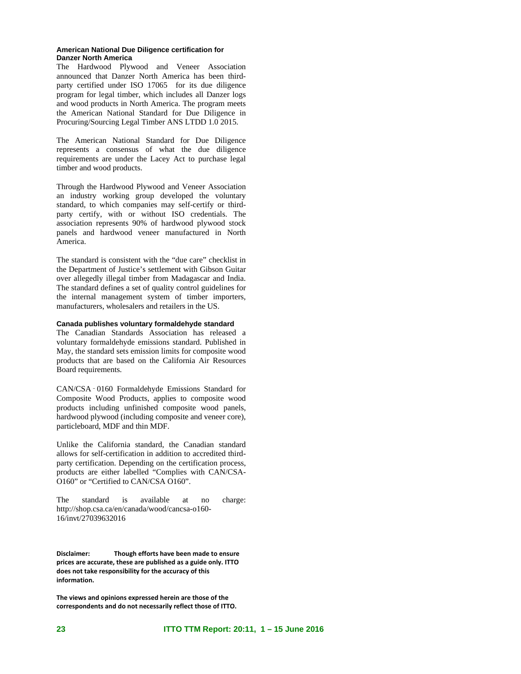## **American National Due Diligence certification for Danzer North America**

The Hardwood Plywood and Veneer Association announced that Danzer North America has been thirdparty certified under ISO 17065 for its due diligence program for legal timber, which includes all Danzer logs and wood products in North America. The program meets the American National Standard for Due Diligence in Procuring/Sourcing Legal Timber ANS LTDD 1.0 2015.

The American National Standard for Due Diligence represents a consensus of what the due diligence requirements are under the Lacey Act to purchase legal timber and wood products.

Through the Hardwood Plywood and Veneer Association an industry working group developed the voluntary standard, to which companies may self-certify or thirdparty certify, with or without ISO credentials. The association represents 90% of hardwood plywood stock panels and hardwood veneer manufactured in North America.

The standard is consistent with the "due care" checklist in the Department of Justice's settlement with Gibson Guitar over allegedly illegal timber from Madagascar and India. The standard defines a set of quality control guidelines for the internal management system of timber importers, manufacturers, wholesalers and retailers in the US.

# **Canada publishes voluntary formaldehyde standard**

The Canadian Standards Association has released a voluntary formaldehyde emissions standard. Published in May, the standard sets emission limits for composite wood products that are based on the California Air Resources Board requirements.

CAN/CSA‑0160 Formaldehyde Emissions Standard for Composite Wood Products, applies to composite wood products including unfinished composite wood panels, hardwood plywood (including composite and veneer core), particleboard, MDF and thin MDF.

Unlike the California standard, the Canadian standard allows for self-certification in addition to accredited thirdparty certification. Depending on the certification process, products are either labelled "Complies with CAN/CSA-O160" or "Certified to CAN/CSA O160".

The standard is available at no charge: http://shop.csa.ca/en/canada/wood/cancsa-o160- 16/invt/27039632016

**Disclaimer: Though efforts have been made to ensure prices are accurate, these are published as a guide only. ITTO does not take responsibility for the accuracy of this information.** 

**The views and opinions expressed herein are those of the correspondents and do not necessarily reflect those of ITTO.**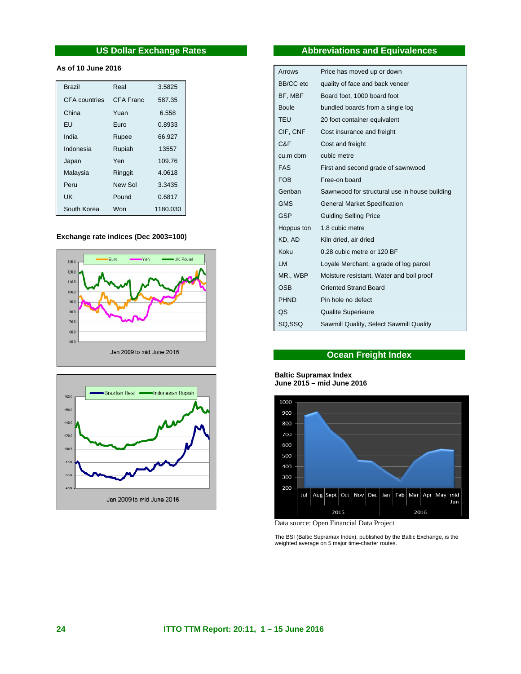# **US Dollar Exchange Rates**

# **As of 10 June 2016**

| <b>Brazil</b>        | Real      | 3.5825   |
|----------------------|-----------|----------|
| <b>CFA</b> countries | CFA Franc | 587.35   |
| China                | Yuan      | 6.558    |
| FU                   | Furo      | 0.8933   |
| India                | Rupee     | 66.927   |
| Indonesia            | Rupiah    | 13557    |
| Japan                | Yen       | 109.76   |
| Malaysia             | Ringgit   | 4.0618   |
| Peru                 | New Sol   | 3.3435   |
| UΚ                   | Pound     | 0.6817   |
| South Korea          | Won       | 1180.030 |

# **Exchange rate indices (Dec 2003=100)**





# **Abbreviations and Equivalences**

| Arrows           | Price has moved up or down                    |
|------------------|-----------------------------------------------|
| <b>BB/CC</b> etc | quality of face and back veneer               |
| BF, MBF          | Board foot, 1000 board foot                   |
| <b>Boule</b>     | bundled boards from a single log              |
| TEU              | 20 foot container equivalent                  |
| CIF, CNF         | Cost insurance and freight                    |
| C&F              | Cost and freight                              |
| cu.m cbm         | cubic metre                                   |
| <b>FAS</b>       | First and second grade of sawnwood            |
| <b>FOB</b>       | Free-on board                                 |
| Genban           | Sawnwood for structural use in house building |
| <b>GMS</b>       | <b>General Market Specification</b>           |
| <b>GSP</b>       | <b>Guiding Selling Price</b>                  |
| Hoppus ton       | 1.8 cubic metre                               |
| KD, AD           | Kiln dried, air dried                         |
| Koku             | 0.28 cubic metre or 120 BF                    |
| LM               | Loyale Merchant, a grade of log parcel        |
| MR., WBP         | Moisture resistant, Water and boil proof      |
| <b>OSB</b>       | <b>Oriented Strand Board</b>                  |
| <b>PHND</b>      | Pin hole no defect                            |
| QS               | <b>Qualite Superieure</b>                     |
| SQ, SSQ          | Sawmill Quality, Select Sawmill Quality       |

# **Ocean Freight Index**

# **Baltic Supramax Index June 2015 – mid June 2016**



Data source: Open Financial Data Project

The BSI (Baltic Supramax Index), published by the Baltic Exchange, is the weighted average on 5 major time-charter routes.